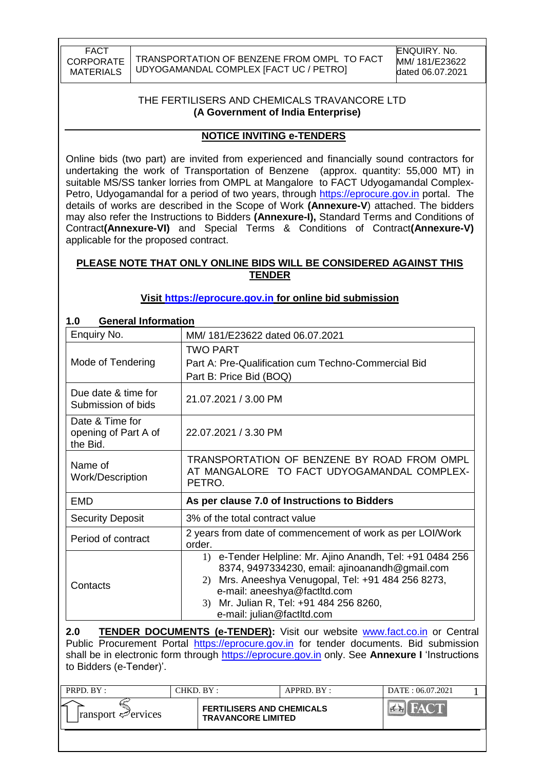TRANSPORTATION OF BENZENE FROM OMPL TO FACT UDYOGAMANDAL COMPLEX [FACT UC / PETRO]

### THE FERTILISERS AND CHEMICALS TRAVANCORE LTD **(A Government of India Enterprise)**

### **NOTICE INVITING e-TENDERS**

Online bids (two part) are invited from experienced and financially sound contractors for undertaking the work of Transportation of Benzene (approx. quantity: 55,000 MT) in suitable MS/SS tanker lorries from OMPL at Mangalore to FACT Udyogamandal ComplexPetro, Udyogamandal for a period of two years, through [https://eprocure.gov.in](https://eprocure.gov.in/) portal. The details of works are described in the Scope of Work **(Annexure-V**) attached. The bidders may also refer the Instructions to Bidders **(Annexure-I),** Standard Terms and Conditions of Contract**(Annexure-VI)** and Special Terms & Conditions of Contract**(Annexure-V)** applicable for the proposed contract.

### **PLEASE NOTE THAT ONLY ONLINE BIDS WILL BE CONSIDERED AGAINST THIS TENDER**

### **Visit [https://eprocure.gov.in](https://eprocure.gov.in/) for online bid submission**

| <b>General Information</b><br>1.0                   |                                                                                                                                                                                                                                                                                  |
|-----------------------------------------------------|----------------------------------------------------------------------------------------------------------------------------------------------------------------------------------------------------------------------------------------------------------------------------------|
| Enquiry No.                                         | MM/181/E23622 dated 06.07.2021                                                                                                                                                                                                                                                   |
|                                                     | TWO PART                                                                                                                                                                                                                                                                         |
| Mode of Tendering                                   | Part A: Pre-Qualification cum Techno-Commercial Bid                                                                                                                                                                                                                              |
|                                                     | Part B: Price Bid (BOQ)                                                                                                                                                                                                                                                          |
| Due date & time for<br>Submission of bids           | 21.07.2021 / 3.00 PM                                                                                                                                                                                                                                                             |
| Date & Time for<br>opening of Part A of<br>the Bid. | 22.07.2021 / 3.30 PM                                                                                                                                                                                                                                                             |
| Name of<br>Work/Description                         | TRANSPORTATION OF BENZENE BY ROAD FROM OMPL<br>AT MANGALORE TO FACT UDYOGAMANDAL COMPLEX-<br>PETRO.                                                                                                                                                                              |
| EMD                                                 | As per clause 7.0 of Instructions to Bidders                                                                                                                                                                                                                                     |
| <b>Security Deposit</b>                             | 3% of the total contract value                                                                                                                                                                                                                                                   |
| Period of contract                                  | 2 years from date of commencement of work as per LOI/Work<br>order.                                                                                                                                                                                                              |
| Contacts                                            | 1) e-Tender Helpline: Mr. Ajino Anandh, Tel: +91 0484 256<br>8374, 9497334230, email: ajinoanandh@gmail.com<br>Mrs. Aneeshya Venugopal, Tel: +91 484 256 8273,<br>2)<br>e-mail: aneeshya@factltd.com<br>Mr. Julian R, Tel: +91 484 256 8260,<br>3)<br>e-mail: julian@factltd.com |

**2.0 TENDER DOCUMENTS (e-TENDER):** Visit our website **www.fact.co.in** or Central Public Procurement Portal [https://eprocure.gov.in](https://eprocure.gov.in/) for tender documents. Bid submission shall be in electronic form through [https://eprocure.gov.in](https://eprocure.gov.in/) only. See **Annexure I** "Instructions to Bidders (e-Tender)".

| PRPD. BY:                               | CHKD. BY: |                                                               | APPRD. BY: | DATE: 06.07.2021 |  |
|-----------------------------------------|-----------|---------------------------------------------------------------|------------|------------------|--|
| $\lvert$ ransport $\mathcal{P}$ ervices |           | <b>FERTILISERS AND CHEMICALS</b><br><b>TRAVANCORE LIMITED</b> |            |                  |  |
|                                         |           |                                                               |            |                  |  |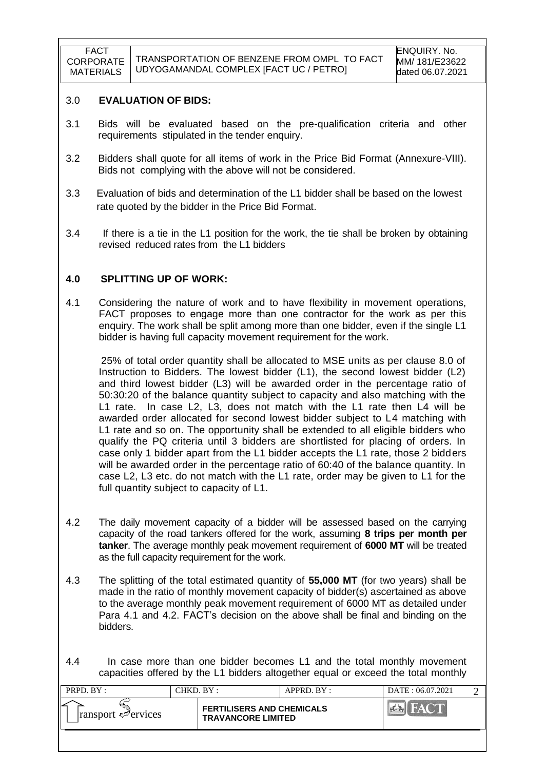#### 3.0 **EVALUATION OF BIDS:**

- 3.1 Bids will be evaluated based on the pre-qualification criteria and other requirements stipulated in the tender enquiry.
- 3.2 Bidders shall quote for all items of work in the Price Bid Format (Annexure-VIII). Bids not complying with the above will not be considered.
- 3.3 Evaluation of bids and determination of the L1 bidder shall be based on the lowest rate quoted by the bidder in the Price Bid Format.
- 3.4 If there is a tie in the L1 position for the work, the tie shall be broken by obtaining revised reduced rates from the L1 bidders

#### **4.0 SPLITTING UP OF WORK:**

4.1 Considering the nature of work and to have flexibility in movement operations, FACT proposes to engage more than one contractor for the work as per this enquiry. The work shall be split among more than one bidder, even if the single L1 bidder is having full capacity movement requirement for the work.

 25% of total order quantity shall be allocated to MSE units as per clause 8.0 of Instruction to Bidders. The lowest bidder (L1), the second lowest bidder (L2) and third lowest bidder (L3) will be awarded order in the percentage ratio of 50:30:20 of the balance quantity subject to capacity and also matching with the L1 rate. In case L2, L3, does not match with the L1 rate then L4 will be awarded order allocated for second lowest bidder subject to L4 matching with L1 rate and so on. The opportunity shall be extended to all eligible bidders who qualify the PQ criteria until 3 bidders are shortlisted for placing of orders. In case only 1 bidder apart from the L1 bidder accepts the L1 rate, those 2 bidders will be awarded order in the percentage ratio of 60:40 of the balance quantity. In case L2, L3 etc. do not match with the L1 rate, order may be given to L1 for the full quantity subject to capacity of L1.

- 4.2 The daily movement capacity of a bidder will be assessed based on the carrying capacity of the road tankers offered for the work, assuming **8 trips per month per tanker**. The average monthly peak movement requirement of **6000 MT** will be treated as the full capacity requirement for the work.
- 4.3 The splitting of the total estimated quantity of **55,000 MT** (for two years) shall be made in the ratio of monthly movement capacity of bidder(s) ascertained as above to the average monthly peak movement requirement of 6000 MT as detailed under Para 4.1 and 4.2. FACT's decision on the above shall be final and binding on the bidders.
- 4.4 In case more than one bidder becomes L1 and the total monthly movement capacities offered by the L1 bidders altogether equal or exceed the total monthly

| PRPD. BY:                               | CHKD. BY: |                                                               | APPRD. BY: | DATE: 06.07.2021 |  |
|-----------------------------------------|-----------|---------------------------------------------------------------|------------|------------------|--|
| $\lvert$ ransport $\mathcal{P}$ ervices |           | <b>FERTILISERS AND CHEMICALS</b><br><b>TRAVANCORE LIMITED</b> |            |                  |  |
|                                         |           |                                                               |            |                  |  |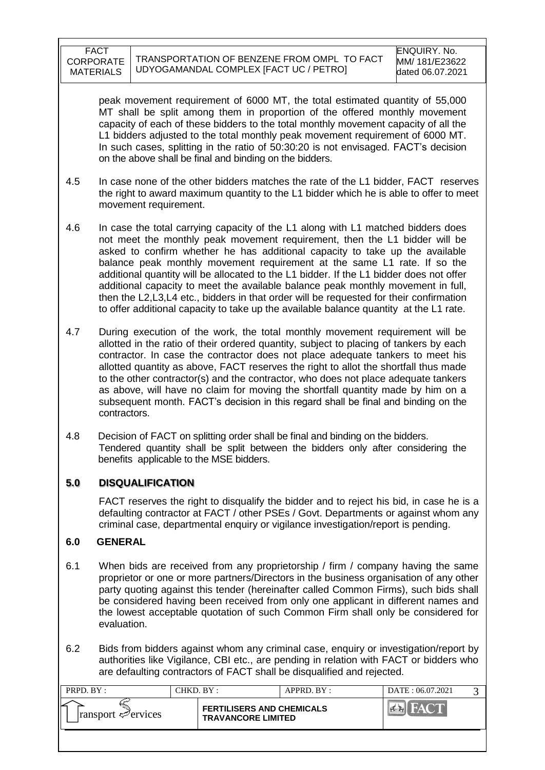peak movement requirement of 6000 MT, the total estimated quantity of 55,000 MT shall be split among them in proportion of the offered monthly movement capacity of each of these bidders to the total monthly movement capacity of all the L1 bidders adjusted to the total monthly peak movement requirement of 6000 MT. In such cases, splitting in the ratio of 50:30:20 is not envisaged. FACT's decision on the above shall be final and binding on the bidders.

- 4.5 In case none of the other bidders matches the rate of the L1 bidder, FACT reserves the right to award maximum quantity to the L1 bidder which he is able to offer to meet movement requirement.
- 4.6 In case the total carrying capacity of the L1 along with L1 matched bidders does not meet the monthly peak movement requirement, then the L1 bidder will be asked to confirm whether he has additional capacity to take up the available balance peak monthly movement requirement at the same L1 rate. If so the additional quantity will be allocated to the L1 bidder. If the L1 bidder does not offer additional capacity to meet the available balance peak monthly movement in full, then the L2,L3,L4 etc., bidders in that order will be requested for their confirmation to offer additional capacity to take up the available balance quantity at the L1 rate.
- 4.7 During execution of the work, the total monthly movement requirement will be allotted in the ratio of their ordered quantity, subject to placing of tankers by each contractor. In case the contractor does not place adequate tankers to meet his allotted quantity as above, FACT reserves the right to allot the shortfall thus made to the other contractor(s) and the contractor, who does not place adequate tankers as above, will have no claim for moving the shortfall quantity made by him on a subsequent month. FACT"s decision in this regard shall be final and binding on the contractors.
- 4.8 Decision of FACT on splitting order shall be final and binding on the bidders. Tendered quantity shall be split between the bidders only after considering the benefits applicable to the MSE bidders.

### **5.0 DISQUALIFICATION**

FACT reserves the right to disqualify the bidder and to reject his bid, in case he is a defaulting contractor at FACT / other PSEs / Govt. Departments or against whom any criminal case, departmental enquiry or vigilance investigation/report is pending.

### **6.0 GENERAL**

- 6.1 When bids are received from any proprietorship / firm / company having the same proprietor or one or more partners/Directors in the business organisation of any other party quoting against this tender (hereinafter called Common Firms), such bids shall be considered having been received from only one applicant in different names and the lowest acceptable quotation of such Common Firm shall only be considered for evaluation.
- 6.2 Bids from bidders against whom any criminal case, enquiry or investigation/report by authorities like Vigilance, CBI etc., are pending in relation with FACT or bidders who are defaulting contractors of FACT shall be disqualified and rejected.

| PRPD. BY:                          | CHKD. BY : |                                                               | APPRD. BY: | DATE: 06.07.2021 |  |
|------------------------------------|------------|---------------------------------------------------------------|------------|------------------|--|
| $ $ ransport $\mathcal{P}$ ervices |            | <b>FERTILISERS AND CHEMICALS</b><br><b>TRAVANCORE LIMITED</b> |            |                  |  |
|                                    |            |                                                               |            |                  |  |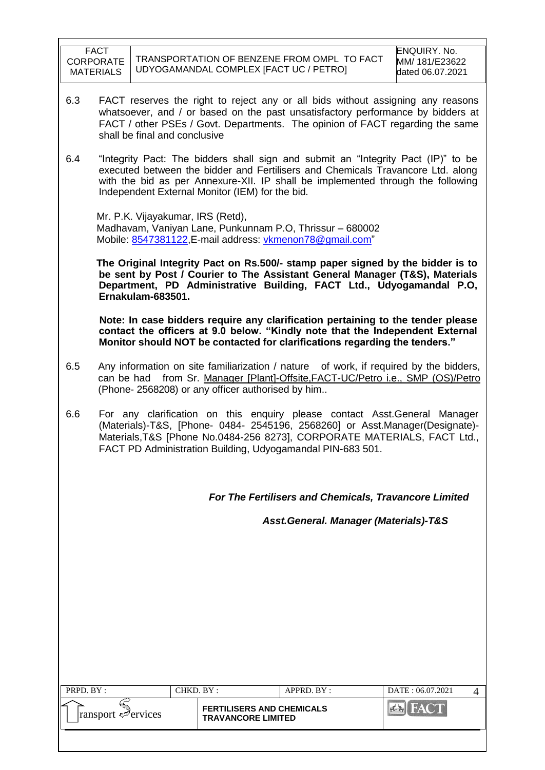- 6.3 FACT reserves the right to reject any or all bids without assigning any reasons whatsoever, and / or based on the past unsatisfactory performance by bidders at FACT / other PSEs / Govt. Departments. The opinion of FACT regarding the same shall be final and conclusive
- 6.4 "Integrity Pact: The bidders shall sign and submit an "Integrity Pact (IP)" to be executed between the bidder and Fertilisers and Chemicals Travancore Ltd. along with the bid as per Annexure-XII. IP shall be implemented through the following Independent External Monitor (IEM) for the bid.

 Mr. P.K. Vijayakumar, IRS (Retd), Madhavam, Vaniyan Lane, Punkunnam P.O, Thrissur – 680002 Mobile: [8547381122,](callto:8547381122) E-mail address: [vkmenon78@gmail.com"](mailto:vkmenon78@gmail.com)

 **The Original Integrity Pact on Rs.500/- stamp paper signed by the bidder is to be sent by Post / Courier to The Assistant General Manager (T&S), Materials Department, PD Administrative Building, FACT Ltd., Udyogamandal P.O, Ernakulam-683501.**

 **Note: In case bidders require any clarification pertaining to the tender please contact the officers at 9.0 below. "Kindly note that the Independent External Monitor should NOT be contacted for clarifications regarding the tenders."**

- 6.5 Any information on site familiarization / nature of work, if required by the bidders, can be had from Sr. Manager [Plant]-Offsite,FACT-UC/Petro i.e., SMP (OS)/Petro (Phone- 2568208) or any officer authorised by him..
- 6.6 For any clarification on this enquiry please contact Asst.General Manager (Materials)-T&S, [Phone- 0484- 2545196, 2568260] or Asst.Manager(Designate)- Materials,T&S [Phone No.0484-256 8273], CORPORATE MATERIALS, FACT Ltd., FACT PD Administration Building, Udyogamandal PIN-683 501.

*For The Fertilisers and Chemicals, Travancore Limited*

 *Asst.General. Manager (Materials)-T&S*

| PRPD. BY :                                   | CHKD. BY: |                                                               | APPRD. BY: | DATE: 06.07.2021 |  |
|----------------------------------------------|-----------|---------------------------------------------------------------|------------|------------------|--|
| ⋍<br>$\lvert$ ransport $\mathcal{P}$ ervices |           | <b>FERTILISERS AND CHEMICALS</b><br><b>TRAVANCORE LIMITED</b> |            |                  |  |
|                                              |           |                                                               |            |                  |  |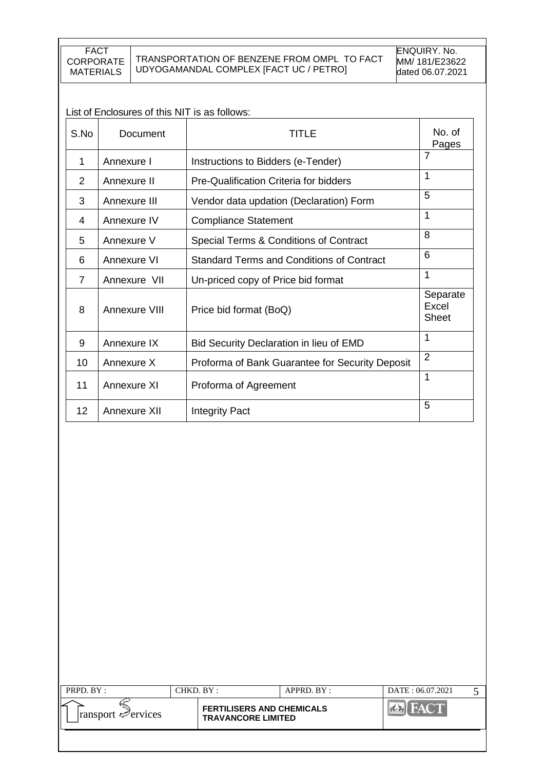# List of Enclosures of this NIT is as follows:

| S.No | Document      | TITLE                                            | No. of<br>Pages                   |
|------|---------------|--------------------------------------------------|-----------------------------------|
| 1    | Annexure I    | Instructions to Bidders (e-Tender)               | $\overline{7}$                    |
| 2    | Annexure II   | Pre-Qualification Criteria for bidders           | 1                                 |
| 3    | Annexure III  | Vendor data updation (Declaration) Form          | 5                                 |
| 4    | Annexure IV   | <b>Compliance Statement</b>                      | $\mathbf{1}$                      |
| 5    | Annexure V    | Special Terms & Conditions of Contract           | 8                                 |
| 6    | Annexure VI   | <b>Standard Terms and Conditions of Contract</b> | 6                                 |
| 7    | Annexure VII  | Un-priced copy of Price bid format               | $\mathbf{1}$                      |
| 8    | Annexure VIII | Price bid format (BoQ)                           | Separate<br>Excel<br><b>Sheet</b> |
| 9    | Annexure IX   | Bid Security Declaration in lieu of EMD          | 1                                 |
| 10   | Annexure X    | Proforma of Bank Guarantee for Security Deposit  | $\overline{2}$                    |
| 11   | Annexure XI   | Proforma of Agreement                            | 1                                 |
| 12   | Annexure XII  | <b>Integrity Pact</b>                            | 5                                 |

| PRPD. BY:                            | CHKD. BY : |                                                               | APPRD. BY: | DATE: 06.07.2021 |  |
|--------------------------------------|------------|---------------------------------------------------------------|------------|------------------|--|
| ⊻<br>ransport e <sup>2</sup> ervices |            | <b>FERTILISERS AND CHEMICALS</b><br><b>TRAVANCORE LIMITED</b> |            |                  |  |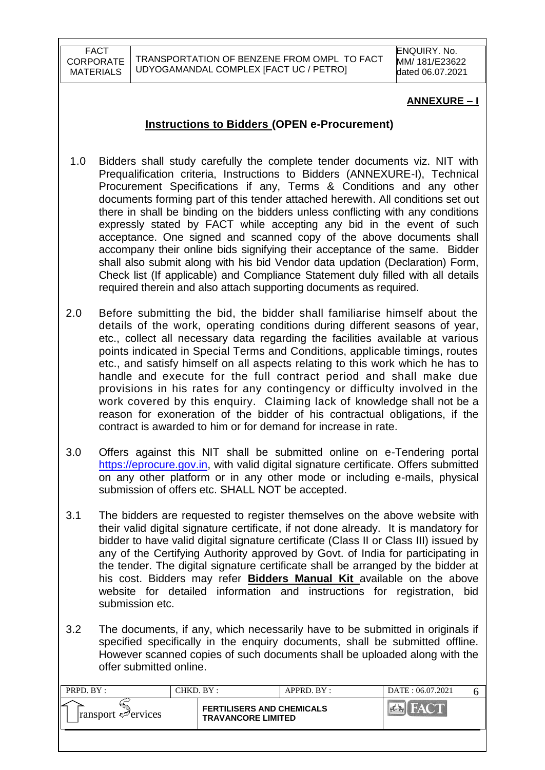### **ANNEXURE – I**

### **Instructions to Bidders (OPEN e-Procurement)**

- 1.0 Bidders shall study carefully the complete tender documents viz. NIT with Prequalification criteria, Instructions to Bidders (ANNEXURE-I), Technical Procurement Specifications if any, Terms & Conditions and any other documents forming part of this tender attached herewith. All conditions set out there in shall be binding on the bidders unless conflicting with any conditions expressly stated by FACT while accepting any bid in the event of such acceptance. One signed and scanned copy of the above documents shall accompany their online bids signifying their acceptance of the same. Bidder shall also submit along with his bid Vendor data updation (Declaration) Form, Check list (If applicable) and Compliance Statement duly filled with all details required therein and also attach supporting documents as required.
- 2.0 Before submitting the bid, the bidder shall familiarise himself about the details of the work, operating conditions during different seasons of year, etc., collect all necessary data regarding the facilities available at various points indicated in Special Terms and Conditions, applicable timings, routes etc., and satisfy himself on all aspects relating to this work which he has to handle and execute for the full contract period and shall make due provisions in his rates for any contingency or difficulty involved in the work covered by this enquiry. Claiming lack of knowledge shall not be a reason for exoneration of the bidder of his contractual obligations, if the contract is awarded to him or for demand for increase in rate.
- 3.0 Offers against this NIT shall be submitted online on e-Tendering portal [https://eprocure.gov.in,](https://eprocure.gov.in/) with valid digital signature certificate. Offers submitted on any other platform or in any other mode or including e-mails, physical submission of offers etc. SHALL NOT be accepted.
- 3.1 The bidders are requested to register themselves on the above website with their valid digital signature certificate, if not done already. It is mandatory for bidder to have valid digital signature certificate (Class II or Class III) issued by any of the Certifying Authority approved by Govt. of India for participating in the tender. The digital signature certificate shall be arranged by the bidder at his cost. Bidders may refer **Bidders Manual Kit** available on the above website for detailed information and instructions for registration, bid submission etc.
- 3.2 The documents, if any, which necessarily have to be submitted in originals if specified specifically in the enquiry documents, shall be submitted offline. However scanned copies of such documents shall be uploaded along with the offer submitted online.

| PRPD. BY:                       | CHKD. BY :                                                    | APPRD. BY : | DATE: 06.07.2021 |  |
|---------------------------------|---------------------------------------------------------------|-------------|------------------|--|
| $\lvert$ ransport $\ll$ ervices | <b>FERTILISERS AND CHEMICALS</b><br><b>TRAVANCORE LIMITED</b> |             |                  |  |
|                                 |                                                               |             |                  |  |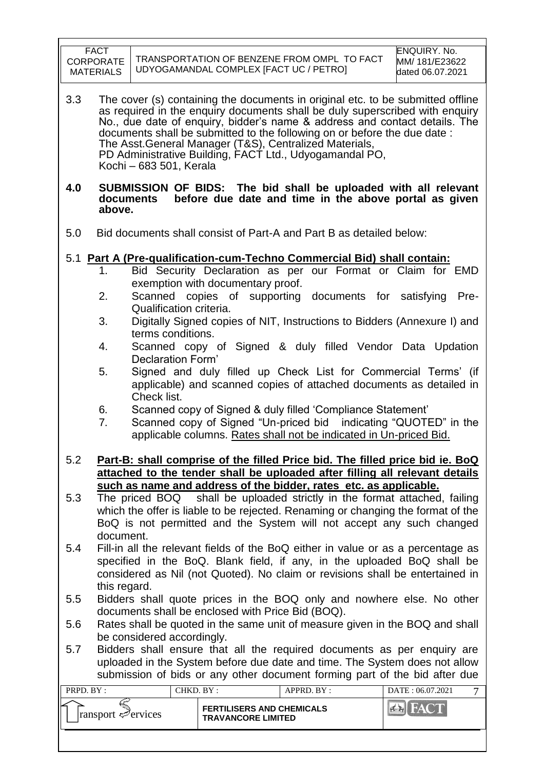|            | <b>FACT</b><br><b>CORPORATE</b><br><b>MATERIALS</b>                                                                                                                                                                                                       |                                                                                  | TRANSPORTATION OF BENZENE FROM OMPL TO FACT<br>UDYOGAMANDAL COMPLEX [FACT UC / PETRO]                                                                                                                                                                                                                                                                                                                                                                                                                                                                                                                                                                                                                                           |            | <b>ENQUIRY. No.</b><br>MM/ 181/E23622<br>dated 06.07.2021 |  |
|------------|-----------------------------------------------------------------------------------------------------------------------------------------------------------------------------------------------------------------------------------------------------------|----------------------------------------------------------------------------------|---------------------------------------------------------------------------------------------------------------------------------------------------------------------------------------------------------------------------------------------------------------------------------------------------------------------------------------------------------------------------------------------------------------------------------------------------------------------------------------------------------------------------------------------------------------------------------------------------------------------------------------------------------------------------------------------------------------------------------|------------|-----------------------------------------------------------|--|
| 3.3        |                                                                                                                                                                                                                                                           | Kochi - 683 501, Kerala                                                          | The cover (s) containing the documents in original etc. to be submitted offline<br>as required in the enquiry documents shall be duly superscribed with enquiry<br>No., due date of enquiry, bidder's name & address and contact details. The<br>documents shall be submitted to the following on or before the due date :<br>The Asst. General Manager (T&S), Centralized Materials,<br>PD Administrative Building, FACT Ltd., Udyogamandal PO,                                                                                                                                                                                                                                                                                |            |                                                           |  |
| 4.0        | above.                                                                                                                                                                                                                                                    | documents                                                                        | SUBMISSION OF BIDS: The bid shall be uploaded with all relevant<br>before due date and time in the above portal as given                                                                                                                                                                                                                                                                                                                                                                                                                                                                                                                                                                                                        |            |                                                           |  |
| 5.0        |                                                                                                                                                                                                                                                           |                                                                                  | Bid documents shall consist of Part-A and Part B as detailed below:                                                                                                                                                                                                                                                                                                                                                                                                                                                                                                                                                                                                                                                             |            |                                                           |  |
|            | 1.<br>2.<br>3.<br>4.<br>5.<br>6.<br>7.                                                                                                                                                                                                                    | Qualification criteria.<br>terms conditions.<br>Declaration Form'<br>Check list. | 5.1 Part A (Pre-qualification-cum-Techno Commercial Bid) shall contain:<br>Bid Security Declaration as per our Format or Claim for EMD<br>exemption with documentary proof.<br>Scanned copies of supporting documents for satisfying<br>Digitally Signed copies of NIT, Instructions to Bidders (Annexure I) and<br>Scanned copy of Signed & duly filled Vendor Data Updation<br>Signed and duly filled up Check List for Commercial Terms' (if<br>applicable) and scanned copies of attached documents as detailed in<br>Scanned copy of Signed & duly filled 'Compliance Statement'<br>Scanned copy of Signed "Un-priced bid indicating "QUOTED" in the<br>applicable columns. Rates shall not be indicated in Un-priced Bid. |            | Pre-                                                      |  |
| 5.2        |                                                                                                                                                                                                                                                           |                                                                                  | Part-B: shall comprise of the filled Price bid. The filled price bid ie. BoQ<br>attached to the tender shall be uploaded after filling all relevant details<br>such as name and address of the bidder, rates etc. as applicable.                                                                                                                                                                                                                                                                                                                                                                                                                                                                                                |            |                                                           |  |
| 5.3        |                                                                                                                                                                                                                                                           |                                                                                  | The priced BOQ shall be uploaded strictly in the format attached, failing<br>which the offer is liable to be rejected. Renaming or changing the format of the<br>BoQ is not permitted and the System will not accept any such changed                                                                                                                                                                                                                                                                                                                                                                                                                                                                                           |            |                                                           |  |
| 5.4        | document.<br>Fill-in all the relevant fields of the BoQ either in value or as a percentage as<br>specified in the BoQ. Blank field, if any, in the uploaded BoQ shall be<br>considered as Nil (not Quoted). No claim or revisions shall be entertained in |                                                                                  |                                                                                                                                                                                                                                                                                                                                                                                                                                                                                                                                                                                                                                                                                                                                 |            |                                                           |  |
| 5.5<br>5.6 | this regard.<br>Bidders shall quote prices in the BOQ only and nowhere else. No other<br>documents shall be enclosed with Price Bid (BOQ).<br>Rates shall be quoted in the same unit of measure given in the BOQ and shall                                |                                                                                  |                                                                                                                                                                                                                                                                                                                                                                                                                                                                                                                                                                                                                                                                                                                                 |            |                                                           |  |
| 5.7        |                                                                                                                                                                                                                                                           | be considered accordingly.                                                       | Bidders shall ensure that all the required documents as per enquiry are<br>uploaded in the System before due date and time. The System does not allow<br>submission of bids or any other document forming part of the bid after due                                                                                                                                                                                                                                                                                                                                                                                                                                                                                             |            |                                                           |  |
| PRPD. BY:  |                                                                                                                                                                                                                                                           |                                                                                  | CHKD. BY:                                                                                                                                                                                                                                                                                                                                                                                                                                                                                                                                                                                                                                                                                                                       | APPRD. BY: | DATE: 06.07.2021<br>7                                     |  |
|            | E<br>ransport Pervices                                                                                                                                                                                                                                    |                                                                                  | <b>FERTILISERS AND CHEMICALS</b><br><b>TRAVANCORE LIMITED</b>                                                                                                                                                                                                                                                                                                                                                                                                                                                                                                                                                                                                                                                                   |            | <b>EN FACT</b>                                            |  |

 $\Gamma$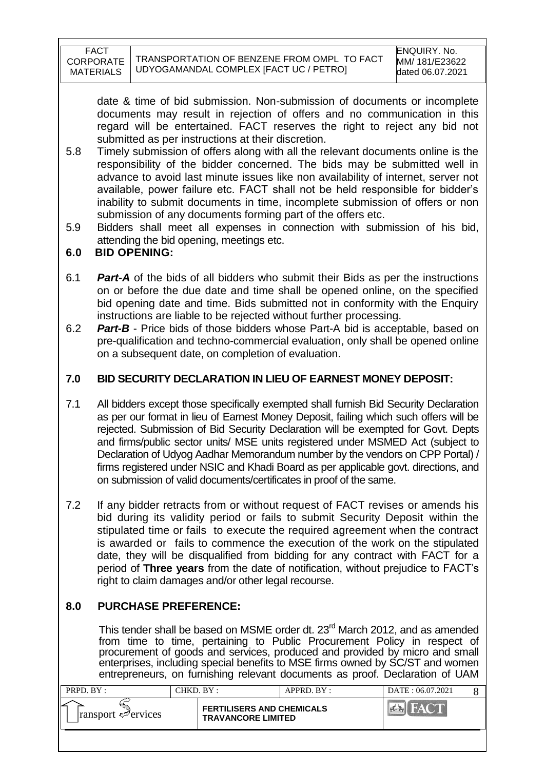date & time of bid submission. Non-submission of documents or incomplete documents may result in rejection of offers and no communication in this regard will be entertained. FACT reserves the right to reject any bid not submitted as per instructions at their discretion.

- 5.8 Timely submission of offers along with all the relevant documents online is the responsibility of the bidder concerned. The bids may be submitted well in advance to avoid last minute issues like non availability of internet, server not available, power failure etc. FACT shall not be held responsible for bidder"s inability to submit documents in time, incomplete submission of offers or non submission of any documents forming part of the offers etc.
- 5.9 Bidders shall meet all expenses in connection with submission of his bid, attending the bid opening, meetings etc.

### **6.0 BID OPENING:**

- 6.1 *Part-A* of the bids of all bidders who submit their Bids as per the instructions on or before the due date and time shall be opened online, on the specified bid opening date and time. Bids submitted not in conformity with the Enquiry instructions are liable to be rejected without further processing.
- 6.2 *Part-B* Price bids of those bidders whose Part-A bid is acceptable, based on pre-qualification and techno-commercial evaluation, only shall be opened online on a subsequent date, on completion of evaluation.

### **7.0 BID SECURITY DECLARATION IN LIEU OF EARNEST MONEY DEPOSIT:**

- 7.1 All bidders except those specifically exempted shall furnish Bid Security Declaration as per our format in lieu of Earnest Money Deposit, failing which such offers will be rejected. Submission of Bid Security Declaration will be exempted for Govt. Depts and firms/public sector units/ MSE units registered under MSMED Act (subject to Declaration of Udyog Aadhar Memorandum number by the vendors on CPP Portal) / firms registered under NSIC and Khadi Board as per applicable govt. directions, and on submission of valid documents/certificates in proof of the same.
- 7.2 If any bidder retracts from or without request of FACT revises or amends his bid during its validity period or fails to submit Security Deposit within the stipulated time or fails to execute the required agreement when the contract is awarded or fails to commence the execution of the work on the stipulated date, they will be disqualified from bidding for any contract with FACT for a period of **Three years** from the date of notification, without prejudice to FACT"s right to claim damages and/or other legal recourse.

# **8.0 PURCHASE PREFERENCE:**

This tender shall be based on MSME order dt. 23<sup>rd</sup> March 2012, and as amended from time to time, pertaining to Public Procurement Policy in respect of procurement of goods and services, produced and provided by micro and small enterprises, including special benefits to MSE firms owned by SC/ST and women entrepreneurs, on furnishing relevant documents as proof. Declaration of UAM

| PRPD. BY:                       | CHKD. BY : |                                                               | APPRD. BY: | DATE: 06.07.2021 |  |
|---------------------------------|------------|---------------------------------------------------------------|------------|------------------|--|
| $\lvert$ ransport $\ll$ ervices |            | <b>FERTILISERS AND CHEMICALS</b><br><b>TRAVANCORE LIMITED</b> |            |                  |  |
|                                 |            |                                                               |            |                  |  |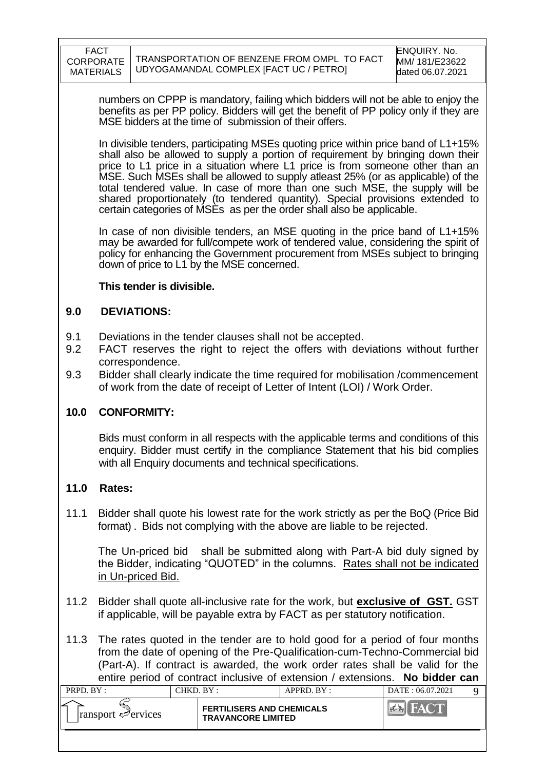numbers on CPPP is mandatory, failing which bidders will not be able to enjoy the benefits as per PP policy. Bidders will get the benefit of PP policy only if they are MSE bidders at the time of submission of their offers.

In divisible tenders, participating MSEs quoting price within price band of L1+15% shall also be allowed to supply a portion of requirement by bringing down their price to L1 price in a situation where L1 price is from someone other than an MSE. Such MSEs shall be allowed to supply atleast 25% (or as applicable) of the total tendered value. In case of more than one such MSE, the supply will be shared proportionately (to tendered quantity). Special provisions extended to certain categories of MSEs as per the order shall also be applicable.

In case of non divisible tenders, an MSE quoting in the price band of L1+15% may be awarded for full/compete work of tendered value, considering the spirit of policy for enhancing the Government procurement from MSEs subject to bringing down of price to L1 by the MSE concerned.

### **This tender is divisible.**

### **9.0 DEVIATIONS:**

- 9.1 Deviations in the tender clauses shall not be accepted.
- 9.2 FACT reserves the right to reject the offers with deviations without further correspondence.
- 9.3 Bidder shall clearly indicate the time required for mobilisation /commencement of work from the date of receipt of Letter of Intent (LOI) / Work Order.

### **10.0 CONFORMITY:**

Bids must conform in all respects with the applicable terms and conditions of this enquiry. Bidder must certify in the compliance Statement that his bid complies with all Enquiry documents and technical specifications.

### **11.0 Rates:**

11.1 Bidder shall quote his lowest rate for the work strictly as per the BoQ (Price Bid format) . Bids not complying with the above are liable to be rejected.

The Un-priced bid shall be submitted along with Part-A bid duly signed by the Bidder, indicating "QUOTED" in the columns. Rates shall not be indicated in Un-priced Bid.

11.2 Bidder shall quote all-inclusive rate for the work, but **exclusive of GST.** GST if applicable, will be payable extra by FACT as per statutory notification.

11.3 The rates quoted in the tender are to hold good for a period of four months from the date of opening of the Pre-Qualification-cum-Techno-Commercial bid (Part-A). If contract is awarded, the work order rates shall be valid for the entire period of contract inclusive of extension / extensions. **No bidder can** 

| PRPD. BY:                       |                                                               | CHKD. BY : | $APPRD$ . BY : | DATE: 06.07.2021             |  |
|---------------------------------|---------------------------------------------------------------|------------|----------------|------------------------------|--|
| $\lvert$ ransport $\ll$ ervices | <b>FERTILISERS AND CHEMICALS</b><br><b>TRAVANCORE LIMITED</b> |            |                | $M^{\Delta}$<br>$\mathbb{Z}$ |  |
|                                 |                                                               |            |                |                              |  |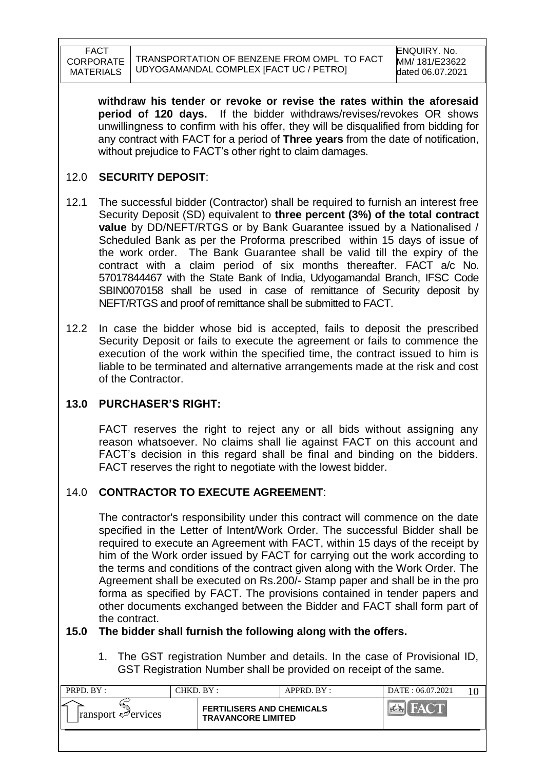**withdraw his tender or revoke or revise the rates within the aforesaid period of 120 days.** If the bidder withdraws/revises/revokes OR shows unwillingness to confirm with his offer, they will be disqualified from bidding for any contract with FACT for a period of **Three years** from the date of notification, without prejudice to FACT"s other right to claim damages.

### 12.0 **SECURITY DEPOSIT**:

- 12.1 The successful bidder (Contractor) shall be required to furnish an interest free Security Deposit (SD) equivalent to **three percent (3%) of the total contract value** by DD/NEFT/RTGS or by Bank Guarantee issued by a Nationalised / Scheduled Bank as per the Proforma prescribed within 15 days of issue of the work order. The Bank Guarantee shall be valid till the expiry of the contract with a claim period of six months thereafter. FACT a/c No. 57017844467 with the State Bank of India, Udyogamandal Branch, IFSC Code SBIN0070158 shall be used in case of remittance of Security deposit by NEFT/RTGS and proof of remittance shall be submitted to FACT.
- 12.2 In case the bidder whose bid is accepted, fails to deposit the prescribed Security Deposit or fails to execute the agreement or fails to commence the execution of the work within the specified time, the contract issued to him is liable to be terminated and alternative arrangements made at the risk and cost of the Contractor.

# **13.0 PURCHASER'S RIGHT:**

FACT reserves the right to reject any or all bids without assigning any reason whatsoever. No claims shall lie against FACT on this account and FACT"s decision in this regard shall be final and binding on the bidders. FACT reserves the right to negotiate with the lowest bidder.

# 14.0 **CONTRACTOR TO EXECUTE AGREEMENT**:

The contractor's responsibility under this contract will commence on the date specified in the Letter of Intent/Work Order. The successful Bidder shall be required to execute an Agreement with FACT, within 15 days of the receipt by him of the Work order issued by FACT for carrying out the work according to the terms and conditions of the contract given along with the Work Order. The Agreement shall be executed on Rs.200/- Stamp paper and shall be in the pro forma as specified by FACT. The provisions contained in tender papers and other documents exchanged between the Bidder and FACT shall form part of the contract.

### **15.0 The bidder shall furnish the following along with the offers.**

1. The GST registration Number and details. In the case of Provisional ID, GST Registration Number shall be provided on receipt of the same.

| PRPD. BY:                                      | CHKD. BY : |                                                               | APPRD. BY: | DATE: 06.07.2021 |  |
|------------------------------------------------|------------|---------------------------------------------------------------|------------|------------------|--|
| مسا<br>$\lvert$ ransport $\mathcal{P}$ ervices |            | <b>FERTILISERS AND CHEMICALS</b><br><b>TRAVANCORE LIMITED</b> |            |                  |  |
|                                                |            |                                                               |            |                  |  |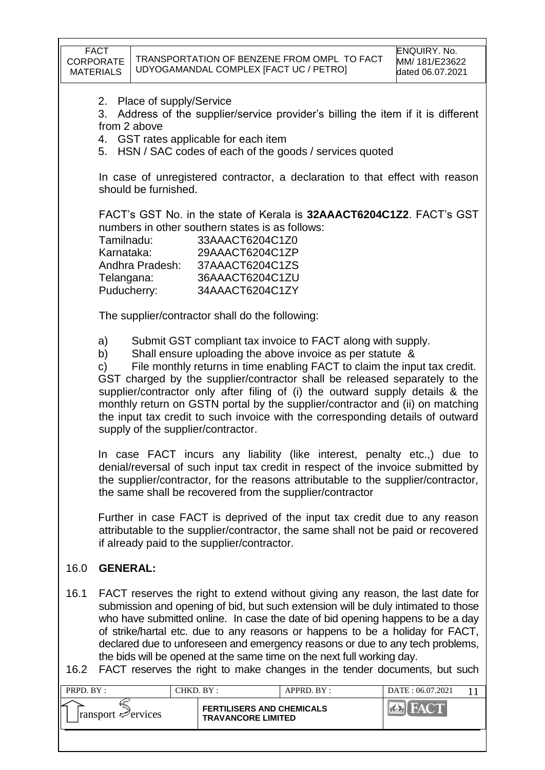| <b>FACT</b><br>CORPORATE<br><b>MATERIALS</b> |                                                                                                                                                                                                                                                                                                                                                                                                                                                                                                                                                                                                 |                         |                                                                                                                                                                | TRANSPORTATION OF BENZENE FROM OMPL TO FACT<br>UDYOGAMANDAL COMPLEX [FACT UC / PETRO]                                                                                                                                                                                                                                                                                                                                                                                                             | ENQUIRY. No.<br>MM/ 181/E23622<br>dated 06.07.2021 |  |
|----------------------------------------------|-------------------------------------------------------------------------------------------------------------------------------------------------------------------------------------------------------------------------------------------------------------------------------------------------------------------------------------------------------------------------------------------------------------------------------------------------------------------------------------------------------------------------------------------------------------------------------------------------|-------------------------|----------------------------------------------------------------------------------------------------------------------------------------------------------------|---------------------------------------------------------------------------------------------------------------------------------------------------------------------------------------------------------------------------------------------------------------------------------------------------------------------------------------------------------------------------------------------------------------------------------------------------------------------------------------------------|----------------------------------------------------|--|
| 2.<br>3.                                     | from 2 above                                                                                                                                                                                                                                                                                                                                                                                                                                                                                                                                                                                    | Place of supply/Service | 4. GST rates applicable for each item                                                                                                                          | Address of the supplier/service provider's billing the item if it is different<br>5. HSN / SAC codes of each of the goods / services quoted                                                                                                                                                                                                                                                                                                                                                       |                                                    |  |
|                                              |                                                                                                                                                                                                                                                                                                                                                                                                                                                                                                                                                                                                 | should be furnished.    |                                                                                                                                                                | In case of unregistered contractor, a declaration to that effect with reason                                                                                                                                                                                                                                                                                                                                                                                                                      |                                                    |  |
|                                              | Tamilnadu:<br>Karnataka:<br>Telangana:<br>Puducherry:                                                                                                                                                                                                                                                                                                                                                                                                                                                                                                                                           |                         | numbers in other southern states is as follows:<br>33AAACT6204C1Z0<br>29AAACT6204C1ZP<br>Andhra Pradesh: 37AAACT6204C1ZS<br>36AAACT6204C1ZU<br>34AAACT6204C1ZY | FACT's GST No. in the state of Kerala is 32AAACT6204C1Z2. FACT's GST                                                                                                                                                                                                                                                                                                                                                                                                                              |                                                    |  |
|                                              |                                                                                                                                                                                                                                                                                                                                                                                                                                                                                                                                                                                                 |                         | The supplier/contractor shall do the following:                                                                                                                |                                                                                                                                                                                                                                                                                                                                                                                                                                                                                                   |                                                    |  |
|                                              | Submit GST compliant tax invoice to FACT along with supply.<br>a)<br>Shall ensure uploading the above invoice as per statute &<br>b)<br>File monthly returns in time enabling FACT to claim the input tax credit.<br>C)<br>GST charged by the supplier/contractor shall be released separately to the<br>supplier/contractor only after filing of (i) the outward supply details & the<br>monthly return on GSTN portal by the supplier/contractor and (ii) on matching<br>the input tax credit to such invoice with the corresponding details of outward<br>supply of the supplier/contractor. |                         |                                                                                                                                                                |                                                                                                                                                                                                                                                                                                                                                                                                                                                                                                   |                                                    |  |
|                                              | In case FACT incurs any liability (like interest, penalty etc.,) due to<br>denial/reversal of such input tax credit in respect of the invoice submitted by<br>the supplier/contractor, for the reasons attributable to the supplier/contractor,<br>the same shall be recovered from the supplier/contractor                                                                                                                                                                                                                                                                                     |                         |                                                                                                                                                                |                                                                                                                                                                                                                                                                                                                                                                                                                                                                                                   |                                                    |  |
|                                              | Further in case FACT is deprived of the input tax credit due to any reason<br>attributable to the supplier/contractor, the same shall not be paid or recovered<br>if already paid to the supplier/contractor.                                                                                                                                                                                                                                                                                                                                                                                   |                         |                                                                                                                                                                |                                                                                                                                                                                                                                                                                                                                                                                                                                                                                                   |                                                    |  |
| 16.0                                         | <b>GENERAL:</b>                                                                                                                                                                                                                                                                                                                                                                                                                                                                                                                                                                                 |                         |                                                                                                                                                                |                                                                                                                                                                                                                                                                                                                                                                                                                                                                                                   |                                                    |  |
| 16.1                                         |                                                                                                                                                                                                                                                                                                                                                                                                                                                                                                                                                                                                 |                         |                                                                                                                                                                | FACT reserves the right to extend without giving any reason, the last date for<br>submission and opening of bid, but such extension will be duly intimated to those<br>who have submitted online. In case the date of bid opening happens to be a day<br>of strike/hartal etc. due to any reasons or happens to be a holiday for FACT,<br>declared due to unforeseen and emergency reasons or due to any tech problems,<br>the bids will be opened at the same time on the next full working day. |                                                    |  |
| 16.2                                         |                                                                                                                                                                                                                                                                                                                                                                                                                                                                                                                                                                                                 |                         |                                                                                                                                                                | FACT reserves the right to make changes in the tender documents, but such                                                                                                                                                                                                                                                                                                                                                                                                                         |                                                    |  |
| PRPD. BY:                                    |                                                                                                                                                                                                                                                                                                                                                                                                                                                                                                                                                                                                 |                         | CHKD. BY:                                                                                                                                                      | APPRD. BY:                                                                                                                                                                                                                                                                                                                                                                                                                                                                                        | DATE: 06.07.2021<br>11                             |  |
| ransport ← ervices                           |                                                                                                                                                                                                                                                                                                                                                                                                                                                                                                                                                                                                 |                         | <b>FERTILISERS AND CHEMICALS</b><br><b>TRAVANCORE LIMITED</b>                                                                                                  |                                                                                                                                                                                                                                                                                                                                                                                                                                                                                                   | <b>BIFACT</b>                                      |  |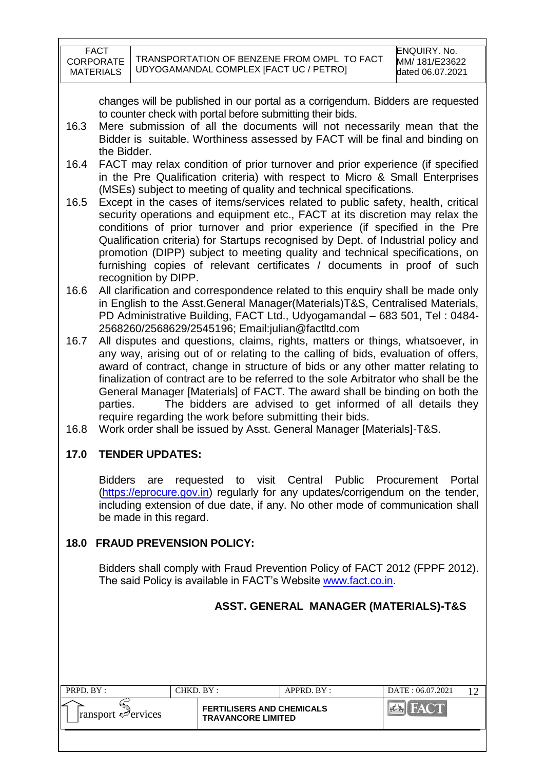| FACT      |
|-----------|
| CORPORATE |
| MATERIALS |

changes will be published in our portal as a corrigendum. Bidders are requested to counter check with portal before submitting their bids.

- 16.3 Mere submission of all the documents will not necessarily mean that the Bidder is suitable. Worthiness assessed by FACT will be final and binding on the Bidder.
- 16.4 FACT may relax condition of prior turnover and prior experience (if specified in the Pre Qualification criteria) with respect to Micro & Small Enterprises (MSEs) subject to meeting of quality and technical specifications.
- 16.5 Except in the cases of items/services related to public safety, health, critical security operations and equipment etc., FACT at its discretion may relax the conditions of prior turnover and prior experience (if specified in the Pre Qualification criteria) for Startups recognised by Dept. of Industrial policy and promotion (DIPP) subject to meeting quality and technical specifications, on furnishing copies of relevant certificates / documents in proof of such recognition by DIPP.
- 16.6 All clarification and correspondence related to this enquiry shall be made only in English to the Asst.General Manager(Materials)T&S, Centralised Materials, PD Administrative Building, FACT Ltd., Udyogamandal – 683 501, Tel : 0484- 2568260/2568629/2545196; Email:julian@factltd.com
- 16.7 All disputes and questions, claims, rights, matters or things, whatsoever, in any way, arising out of or relating to the calling of bids, evaluation of offers, award of contract, change in structure of bids or any other matter relating to finalization of contract are to be referred to the sole Arbitrator who shall be the General Manager [Materials] of FACT. The award shall be binding on both the parties. The bidders are advised to get informed of all details they require regarding the work before submitting their bids.
- 16.8 Work order shall be issued by Asst. General Manager [Materials]-T&S.

# **17.0 TENDER UPDATES:**

Bidders are requested to visit Central Public Procurement Portal [\(https://eprocure.gov.in\)](https://eprocure.gov.in/) regularly for any updates/corrigendum on the tender, including extension of due date, if any. No other mode of communication shall be made in this regard.

### **18.0 FRAUD PREVENSION POLICY:**

Bidders shall comply with Fraud Prevention Policy of FACT 2012 (FPPF 2012). The said Policy is available in FACT's Website [www.fact.co.in.](http://www.fact.co.in/)

# **ASST. GENERAL MANAGER (MATERIALS)-T&S**

| PRPD. BY:                          |  | CHKD. BY:                                                     | APPRD. BY: | DATE: 06.07.2021 |  |
|------------------------------------|--|---------------------------------------------------------------|------------|------------------|--|
| $ $ ransport $\mathcal{P}$ ervices |  | <b>FERTILISERS AND CHEMICALS</b><br><b>TRAVANCORE LIMITED</b> |            |                  |  |
|                                    |  |                                                               |            |                  |  |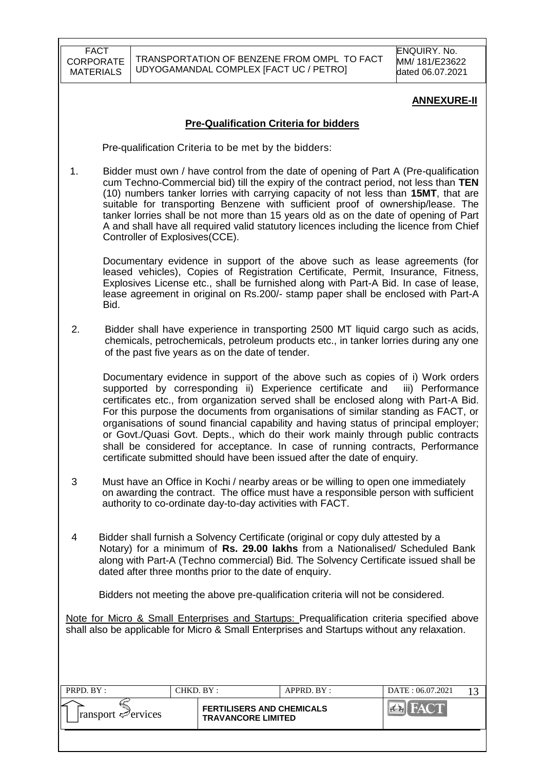### **ANNEXURE-II**

#### **Pre-Qualification Criteria for bidders**

Pre-qualification Criteria to be met by the bidders:

1. Bidder must own / have control from the date of opening of Part A (Pre-qualification cum Techno-Commercial bid) till the expiry of the contract period, not less than **TEN** (10) numbers tanker lorries with carrying capacity of not less than **15MT**, that are suitable for transporting Benzene with sufficient proof of ownership/lease. The tanker lorries shall be not more than 15 years old as on the date of opening of Part A and shall have all required valid statutory licences including the licence from Chief Controller of Explosives(CCE).

Documentary evidence in support of the above such as lease agreements (for leased vehicles), Copies of Registration Certificate, Permit, Insurance, Fitness, Explosives License etc., shall be furnished along with Part-A Bid. In case of lease, lease agreement in original on Rs.200/- stamp paper shall be enclosed with Part-A Bid.

 2. Bidder shall have experience in transporting 2500 MT liquid cargo such as acids, chemicals, petrochemicals, petroleum products etc., in tanker lorries during any one of the past five years as on the date of tender.

Documentary evidence in support of the above such as copies of i) Work orders supported by corresponding ii) Experience certificate and iii) Performance certificates etc., from organization served shall be enclosed along with Part-A Bid. For this purpose the documents from organisations of similar standing as FACT, or organisations of sound financial capability and having status of principal employer; or Govt./Quasi Govt. Depts., which do their work mainly through public contracts shall be considered for acceptance. In case of running contracts, Performance certificate submitted should have been issued after the date of enquiry.

- 3 Must have an Office in Kochi / nearby areas or be willing to open one immediately on awarding the contract. The office must have a responsible person with sufficient authority to co-ordinate day-to-day activities with FACT.
- 4 Bidder shall furnish a Solvency Certificate (original or copy duly attested by a Notary) for a minimum of **Rs. 29.00 lakhs** from a Nationalised/ Scheduled Bank along with Part-A (Techno commercial) Bid. The Solvency Certificate issued shall be dated after three months prior to the date of enquiry.

Bidders not meeting the above pre-qualification criteria will not be considered.

Note for Micro & Small Enterprises and Startups: Prequalification criteria specified above shall also be applicable for Micro & Small Enterprises and Startups without any relaxation.

| PRPD. BY:                                    |  | CHKD. BY :                                                    | APPRD. BY: | DATE: 06.07.2021         |  |
|----------------------------------------------|--|---------------------------------------------------------------|------------|--------------------------|--|
| ⋍<br>$\lvert$ ransport $\mathcal{P}$ ervices |  | <b>FERTILISERS AND CHEMICALS</b><br><b>TRAVANCORE LIMITED</b> |            | <b>THEAT OF BUILDING</b> |  |
|                                              |  |                                                               |            |                          |  |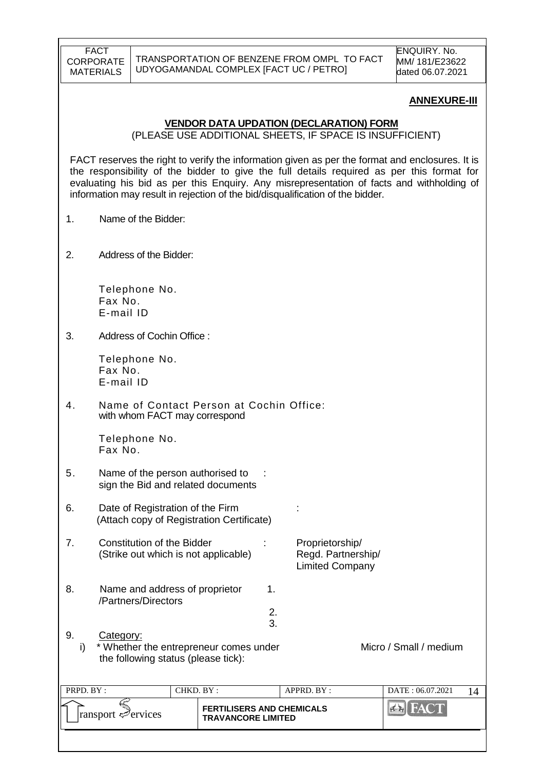#### **ANNEXURE-III**

#### **VENDOR DATA UPDATION (DECLARATION) FORM**

(PLEASE USE ADDITIONAL SHEETS, IF SPACE IS INSUFFICIENT)

FACT reserves the right to verify the information given as per the format and enclosures. It is the responsibility of the bidder to give the full details required as per this format for evaluating his bid as per this Enquiry. Any misrepresentation of facts and withholding of information may result in rejection of the bid/disqualification of the bidder.

- 1. Name of the Bidder:
- 2. Address of the Bidder:

Telephone No. Fax No. E-mail ID

3. Address of Cochin Office :

Telephone No. Fax No. E-mail ID

4. Name of Contact Person at Cochin Office: with whom FACT may correspond

> Telephone No. Fax No.

- 5. Name of the person authorised to : sign the Bid and related documents
- 6. Date of Registration of the Firm : (Attach copy of Registration Certificate)
- 7. Constitution of the Bidder : Proprietorship/ (Strike out which is not applicable) Regd. Partnership/ Limited Company
- 8. Name and address of proprietor 1. /Partners/Directors
	-
- 9. Category: i) \* Whether the entrepreneur comes under Micro / Small / medium the following status (please tick):

 2. 3.

| PRPD. BY:<br>CHKD. BY :-                |  | $APPRD$ . $BY$ :                                              |  | DATE: 06.07.2021 |  |
|-----------------------------------------|--|---------------------------------------------------------------|--|------------------|--|
| $\lvert$ ransport $\mathcal{P}$ ervices |  | <b>FERTILISERS AND CHEMICALS</b><br><b>TRAVANCORE LIMITED</b> |  | HACTE            |  |
|                                         |  |                                                               |  |                  |  |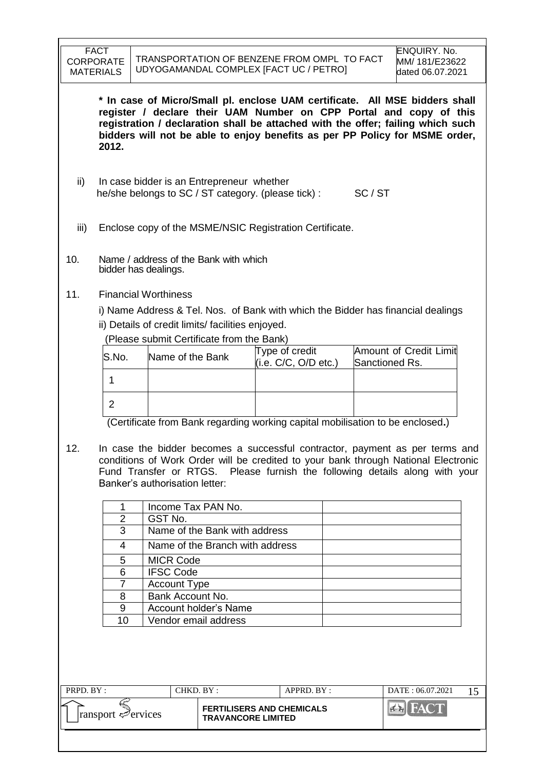**\* In case of Micro/Small pl. enclose UAM certificate. All MSE bidders shall register / declare their UAM Number on CPP Portal and copy of this registration / declaration shall be attached with the offer; failing which such bidders will not be able to enjoy benefits as per PP Policy for MSME order, 2012.**

- ii) In case bidder is an Entrepreneur whether he/she belongs to SC / ST category. (please tick) : SC / ST
- iii) Enclose copy of the MSME/NSIC Registration Certificate.
- 10. Name / address of the Bank with which bidder has dealings.
- 11. Financial Worthiness

i) Name Address & Tel. Nos. of Bank with which the Bidder has financial dealings ii) Details of credit limits/ facilities enjoyed.

(Please submit Certificate from the Bank)

| S.No. | Name of the Bank | Type of credit<br>(i.e. C/C, O/D etc.) | Amount of Credit Limit<br>Sanctioned Rs. |
|-------|------------------|----------------------------------------|------------------------------------------|
|       |                  |                                        |                                          |
|       |                  |                                        |                                          |

(Certificate from Bank regarding working capital mobilisation to be enclosed**.**)

12. In case the bidder becomes a successful contractor, payment as per terms and conditions of Work Order will be credited to your bank through National Electronic Fund Transfer or RTGS. Please furnish the following details along with your Banker's authorisation letter:

|    | Income Tax PAN No.              |
|----|---------------------------------|
| 2  | GST No.                         |
| 3  | Name of the Bank with address   |
|    | Name of the Branch with address |
| 5  | <b>MICR Code</b>                |
| 6  | <b>IFSC Code</b>                |
|    | <b>Account Type</b>             |
| 8  | Bank Account No.                |
| 9  | Account holder's Name           |
| 10 | Vendor email address            |
|    |                                 |

| PRPD, BY:                                     |  | CHKD. BY :<br>$APPRD$ $BY$ :                                  |  | DATE: 06.07.2021 |  |
|-----------------------------------------------|--|---------------------------------------------------------------|--|------------------|--|
| 'F<br>$\lvert$ ransport $\mathcal{P}$ ervices |  | <b>FERTILISERS AND CHEMICALS</b><br><b>TRAVANCORE LIMITED</b> |  |                  |  |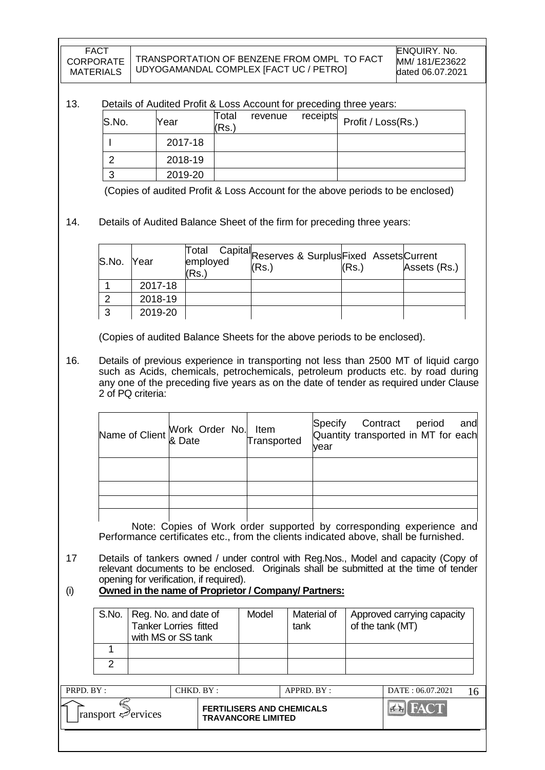#### 13. Details of Audited Profit & Loss Account for preceding three years:

| S.No. | Year    | Total<br>(Rs.) | revenue | receipts Profit / Loss(Rs.) |
|-------|---------|----------------|---------|-----------------------------|
|       | 2017-18 |                |         |                             |
|       | 2018-19 |                |         |                             |
|       | 2019-20 |                |         |                             |

(Copies of audited Profit & Loss Account for the above periods to be enclosed)

### 14. Details of Audited Balance Sheet of the firm for preceding three years:

| S.No. Year |         | Total<br>employed<br>(Rs.) | Capital <sub>Reserves &amp; SurplusFixed Assets</sub> Current<br>(Rs.) | (Rs.) | Assets (Rs.) |
|------------|---------|----------------------------|------------------------------------------------------------------------|-------|--------------|
|            | 2017-18 |                            |                                                                        |       |              |
|            | 2018-19 |                            |                                                                        |       |              |
|            | 2019-20 |                            |                                                                        |       |              |

(Copies of audited Balance Sheets for the above periods to be enclosed).

16. Details of previous experience in transporting not less than 2500 MT of liquid cargo such as Acids, chemicals, petrochemicals, petroleum products etc. by road during any one of the preceding five years as on the date of tender as required under Clause 2 of PQ criteria:

| Name of Client Work Order No. Item<br>Transp & Date | Transported | Specify Contract period and<br>Quantity transported in MT for each<br>vear |
|-----------------------------------------------------|-------------|----------------------------------------------------------------------------|
|                                                     |             |                                                                            |
|                                                     |             |                                                                            |
|                                                     |             |                                                                            |
|                                                     |             |                                                                            |

Note: Copies of Work order supported by corresponding experience and Performance certificates etc., from the clients indicated above, shall be furnished.

- 17 Details of tankers owned / under control with Reg.Nos., Model and capacity (Copy of relevant documents to be enclosed. Originals shall be submitted at the time of tender opening for verification, if required).
- (i) **Owned in the name of Proprietor / Company/ Partners:**

| S.No.   Reg. No. and date of<br><b>Tanker Lorries fitted</b><br>with MS or SS tank | Model | Material of<br>tank | Approved carrying capacity<br>of the tank (MT) |
|------------------------------------------------------------------------------------|-------|---------------------|------------------------------------------------|
|                                                                                    |       |                     |                                                |
|                                                                                    |       |                     |                                                |

| PRPD. BY:                            | CHKD. BY: |                                                               | $APPRD$ . $BY$ : | DATE: 06.07.2021 |  |
|--------------------------------------|-----------|---------------------------------------------------------------|------------------|------------------|--|
| ∠<br>$\lvert$ ransport $\ll$ ervices |           | <b>FERTILISERS AND CHEMICALS</b><br><b>TRAVANCORE LIMITED</b> |                  |                  |  |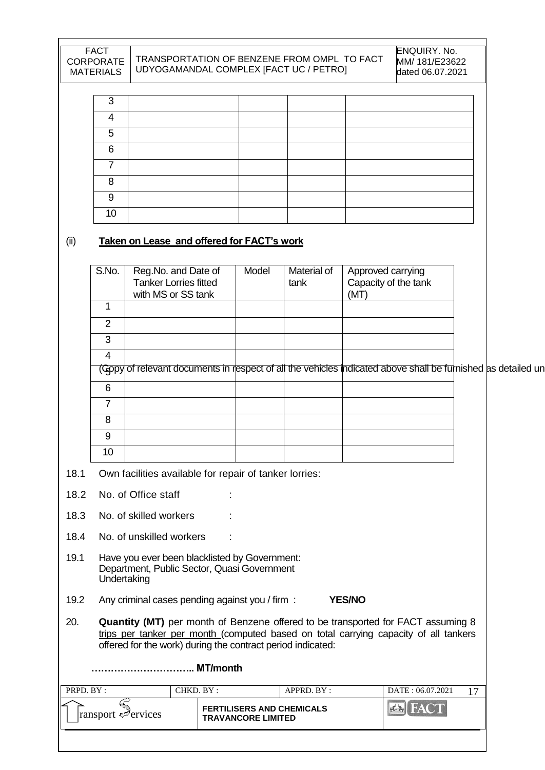| <b>FACT</b><br><b>CORPORATE</b><br><b>MATERIALS</b> | TRANSPORTATION OF BENZENE FROM OMPLITO FACT<br>UDYOGAMANDAL COMPLEX [FACT UC / PETRO] | ENQUIRY. No.<br>MM/ 181/E23622<br>dated 06.07.2021 |  |  |
|-----------------------------------------------------|---------------------------------------------------------------------------------------|----------------------------------------------------|--|--|
|                                                     |                                                                                       |                                                    |  |  |
| 3                                                   |                                                                                       |                                                    |  |  |
| 4                                                   |                                                                                       |                                                    |  |  |
| 5                                                   |                                                                                       |                                                    |  |  |
| 6                                                   |                                                                                       |                                                    |  |  |
|                                                     |                                                                                       |                                                    |  |  |
| 8                                                   |                                                                                       |                                                    |  |  |
| 9                                                   |                                                                                       |                                                    |  |  |
| 10                                                  |                                                                                       |                                                    |  |  |

i

# (ii) **Taken on Lease and offered for FACT's work**

|           | S.No.          | Reg.No. and Date of<br><b>Tanker Lorries fitted</b><br>with MS or SS tank                    | Model                                                         | <b>Material of</b><br>tank | Approved carrying<br>Capacity of the tank<br>(MT)                                                                                                                        |    |
|-----------|----------------|----------------------------------------------------------------------------------------------|---------------------------------------------------------------|----------------------------|--------------------------------------------------------------------------------------------------------------------------------------------------------------------------|----|
|           | $\overline{1}$ |                                                                                              |                                                               |                            |                                                                                                                                                                          |    |
|           | $\overline{2}$ |                                                                                              |                                                               |                            |                                                                                                                                                                          |    |
|           | 3              |                                                                                              |                                                               |                            |                                                                                                                                                                          |    |
|           | $\overline{4}$ |                                                                                              |                                                               |                            |                                                                                                                                                                          |    |
|           |                |                                                                                              |                                                               |                            | (Gopy of relevant documents in respect of all the vehicles indicated above shall be furnished as detailed un                                                             |    |
|           | 6              |                                                                                              |                                                               |                            |                                                                                                                                                                          |    |
|           | $\overline{7}$ |                                                                                              |                                                               |                            |                                                                                                                                                                          |    |
|           | 8              |                                                                                              |                                                               |                            |                                                                                                                                                                          |    |
|           | 9              |                                                                                              |                                                               |                            |                                                                                                                                                                          |    |
|           | 10             |                                                                                              |                                                               |                            |                                                                                                                                                                          |    |
| 18.1      |                | Own facilities available for repair of tanker lorries:                                       |                                                               |                            |                                                                                                                                                                          |    |
| 18.2      |                | No. of Office staff                                                                          |                                                               |                            |                                                                                                                                                                          |    |
| 18.3      |                | No. of skilled workers                                                                       |                                                               |                            |                                                                                                                                                                          |    |
| 18.4      |                | No. of unskilled workers                                                                     |                                                               |                            |                                                                                                                                                                          |    |
| 19.1      | Undertaking    | Have you ever been blacklisted by Government:<br>Department, Public Sector, Quasi Government |                                                               |                            |                                                                                                                                                                          |    |
| 19.2      |                | Any criminal cases pending against you / firm :                                              |                                                               |                            | <b>YES/NO</b>                                                                                                                                                            |    |
| 20.       |                | offered for the work) during the contract period indicated:                                  |                                                               |                            | Quantity (MT) per month of Benzene offered to be transported for FACT assuming 8<br>trips per tanker per month (computed based on total carrying capacity of all tankers |    |
|           |                | MT/month                                                                                     |                                                               |                            |                                                                                                                                                                          |    |
| PRPD. BY: |                | CHKD. BY:                                                                                    |                                                               | APPRD. BY:                 | DATE: 06.07.2021                                                                                                                                                         | 17 |
|           |                | Fransport Services                                                                           | <b>FERTILISERS AND CHEMICALS</b><br><b>TRAVANCORE LIMITED</b> |                            | <b>EX</b> FACT                                                                                                                                                           |    |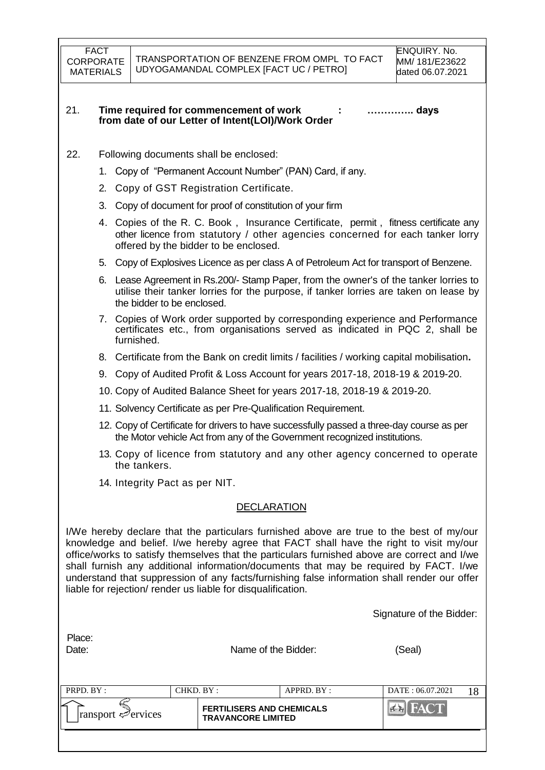#### 21. **Time required for commencement of work : ………….. days from date of our Letter of Intent(LOI)/Work Order**

- 22. Following documents shall be enclosed:
	- 1. Copy of "Permanent Account Number" (PAN) Card, if any.
	- 2. Copy of GST Registration Certificate.
	- 3. Copy of document for proof of constitution of your firm
	- 4. Copies of the R. C. Book , Insurance Certificate, permit , fitness certificate any other licence from statutory / other agencies concerned for each tanker lorry offered by the bidder to be enclosed.
	- 5. Copy of Explosives Licence as per class A of Petroleum Act for transport of Benzene.
	- 6. Lease Agreement in Rs.200/- Stamp Paper, from the owner's of the tanker lorries to utilise their tanker lorries for the purpose, if tanker lorries are taken on lease by the bidder to be enclosed.
	- 7. Copies of Work order supported by corresponding experience and Performance certificates etc., from organisations served as indicated in PQC 2, shall be furnished.
	- 8. Certificate from the Bank on credit limits / facilities / working capital mobilisation**.**
	- 9. Copy of Audited Profit & Loss Account for years 2017-18, 2018-19 & 2019-20.
	- 10. Copy of Audited Balance Sheet for years 2017-18, 2018-19 & 2019-20.
	- 11. Solvency Certificate as per Pre-Qualification Requirement.
	- 12. Copy of Certificate for drivers to have successfully passed a three-day course as per the Motor vehicle Act from any of the Government recognized institutions.
	- 13. Copy of licence from statutory and any other agency concerned to operate the tankers.
	- 14. Integrity Pact as per NIT.

#### DECLARATION

I/We hereby declare that the particulars furnished above are true to the best of my/our knowledge and belief. I/we hereby agree that FACT shall have the right to visit my/our office/works to satisfy themselves that the particulars furnished above are correct and I/we shall furnish any additional information/documents that may be required by FACT. I/we understand that suppression of any facts/furnishing false information shall render our offer liable for rejection/ render us liable for disqualification.

Signature of the Bidder:

| Place: |  |
|--------|--|
| ∩ato∙  |  |

Name of the Bidder: (Seal)

| PRPD. BY:                          | CHKD. BY : |                                                               | APPRD. BY: | DATE: 06.07.2021 |  |
|------------------------------------|------------|---------------------------------------------------------------|------------|------------------|--|
| $ $ ransport $\mathcal{P}$ ervices |            | <b>FERTILISERS AND CHEMICALS</b><br><b>TRAVANCORE LIMITED</b> |            | PERTY            |  |
|                                    |            |                                                               |            |                  |  |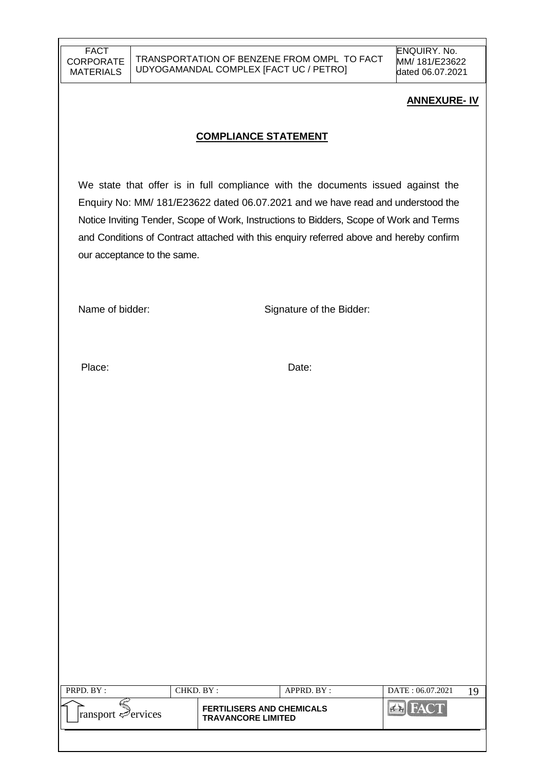### **ANNEXURE- IV**

### **COMPLIANCE STATEMENT**

We state that offer is in full compliance with the documents issued against the Enquiry No: MM/ 181/E23622 dated 06.07.2021 and we have read and understood the Notice Inviting Tender, Scope of Work, Instructions to Bidders, Scope of Work and Terms and Conditions of Contract attached with this enquiry referred above and hereby confirm our acceptance to the same.

Name of bidder: Signature of the Bidder:

Place: Date: Date:

| PRPD. BY:                          | CHKD. BY : |                                                               | APPRD. BY: | DATE: 06.07.2021 |  |
|------------------------------------|------------|---------------------------------------------------------------|------------|------------------|--|
| $ $ ransport $\mathcal{P}$ ervices |            | <b>FERTILISERS AND CHEMICALS</b><br><b>TRAVANCORE LIMITED</b> |            | FACT             |  |
|                                    |            |                                                               |            |                  |  |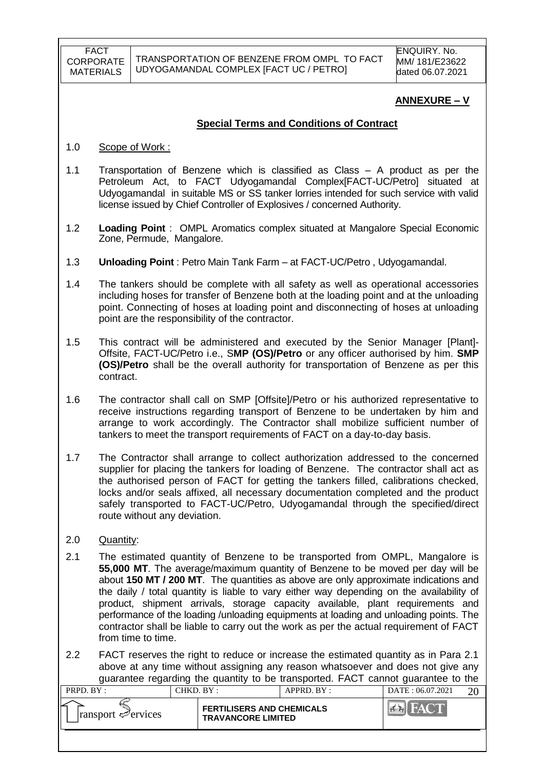### **ANNEXURE – V**

### **Special Terms and Conditions of Contract**

- 1.0 Scope of Work :
- 1.1 Transportation of Benzene which is classified as Class A product as per the Petroleum Act, to FACT Udyogamandal Complex[FACT-UC/Petro] situated at Udyogamandal in suitable MS or SS tanker lorries intended for such service with valid license issued by Chief Controller of Explosives / concerned Authority.
- 1.2 **Loading Point** : OMPL Aromatics complex situated at Mangalore Special Economic Zone, Permude, Mangalore.
- 1.3 **Unloading Point** : Petro Main Tank Farm at FACT-UC/Petro , Udyogamandal.
- 1.4 The tankers should be complete with all safety as well as operational accessories including hoses for transfer of Benzene both at the loading point and at the unloading point. Connecting of hoses at loading point and disconnecting of hoses at unloading point are the responsibility of the contractor.
- 1.5 This contract will be administered and executed by the Senior Manager [Plant]- Offsite, FACT-UC/Petro i.e., S**MP (OS)/Petro** or any officer authorised by him. **SMP (OS)/Petro** shall be the overall authority for transportation of Benzene as per this contract.
- 1.6 The contractor shall call on SMP [Offsite]/Petro or his authorized representative to receive instructions regarding transport of Benzene to be undertaken by him and arrange to work accordingly. The Contractor shall mobilize sufficient number of tankers to meet the transport requirements of FACT on a day-to-day basis.
- 1.7 The Contractor shall arrange to collect authorization addressed to the concerned supplier for placing the tankers for loading of Benzene. The contractor shall act as the authorised person of FACT for getting the tankers filled, calibrations checked, locks and/or seals affixed, all necessary documentation completed and the product safely transported to FACT-UC/Petro, Udyogamandal through the specified/direct route without any deviation.
- 2.0 Quantity:
- 2.1 The estimated quantity of Benzene to be transported from OMPL, Mangalore is **55,000 MT**. The average/maximum quantity of Benzene to be moved per day will be about **150 MT / 200 MT**. The quantities as above are only approximate indications and the daily / total quantity is liable to vary either way depending on the availability of product, shipment arrivals, storage capacity available, plant requirements and performance of the loading /unloading equipments at loading and unloading points. The contractor shall be liable to carry out the work as per the actual requirement of FACT from time to time.
- 2.2 FACT reserves the right to reduce or increase the estimated quantity as in Para 2.1 above at any time without assigning any reason whatsoever and does not give any guarantee regarding the quantity to be transported. FACT cannot guarantee to the

| PRPD. BY:                       | CHKD. BY : |                                                               | APPRD. BY: | DATE: 06.07.2021 | or |
|---------------------------------|------------|---------------------------------------------------------------|------------|------------------|----|
| $\lvert$ ransport $\ll$ ervices |            | <b>FERTILISERS AND CHEMICALS</b><br><b>TRAVANCORE LIMITED</b> |            |                  |    |
|                                 |            |                                                               |            |                  |    |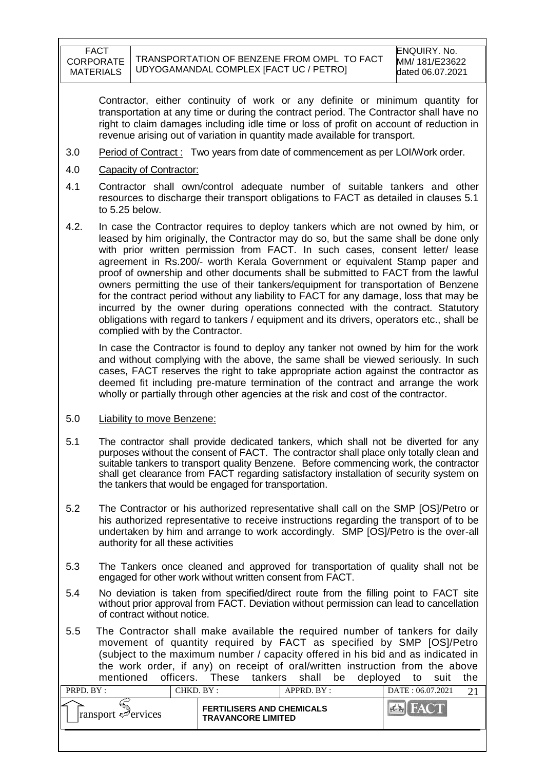Contractor, either continuity of work or any definite or minimum quantity for transportation at any time or during the contract period. The Contractor shall have no right to claim damages including idle time or loss of profit on account of reduction in revenue arising out of variation in quantity made available for transport.

- 3.0 Period of Contract : Two years from date of commencement as per LOI/Work order.
- 4.0 Capacity of Contractor:
- 4.1 Contractor shall own/control adequate number of suitable tankers and other resources to discharge their transport obligations to FACT as detailed in clauses 5.1 to 5.25 below.
- 4.2. In case the Contractor requires to deploy tankers which are not owned by him, or leased by him originally, the Contractor may do so, but the same shall be done only with prior written permission from FACT. In such cases, consent letter/ lease agreement in Rs.200/- worth Kerala Government or equivalent Stamp paper and proof of ownership and other documents shall be submitted to FACT from the lawful owners permitting the use of their tankers/equipment for transportation of Benzene for the contract period without any liability to FACT for any damage, loss that may be incurred by the owner during operations connected with the contract. Statutory obligations with regard to tankers / equipment and its drivers, operators etc., shall be complied with by the Contractor.

In case the Contractor is found to deploy any tanker not owned by him for the work and without complying with the above, the same shall be viewed seriously. In such cases, FACT reserves the right to take appropriate action against the contractor as deemed fit including pre-mature termination of the contract and arrange the work wholly or partially through other agencies at the risk and cost of the contractor.

#### 5.0 Liability to move Benzene:

- 5.1 The contractor shall provide dedicated tankers, which shall not be diverted for any purposes without the consent of FACT. The contractor shall place only totally clean and suitable tankers to transport quality Benzene. Before commencing work, the contractor shall get clearance from FACT regarding satisfactory installation of security system on the tankers that would be engaged for transportation.
- 5.2 The Contractor or his authorized representative shall call on the SMP [OS]/Petro or his authorized representative to receive instructions regarding the transport of to be undertaken by him and arrange to work accordingly. SMP [OS]/Petro is the over-all authority for all these activities
- 5.3 The Tankers once cleaned and approved for transportation of quality shall not be engaged for other work without written consent from FACT.
- 5.4 No deviation is taken from specified/direct route from the filling point to FACT site without prior approval from FACT. Deviation without permission can lead to cancellation of contract without notice.
- 5.5 The Contractor shall make available the required number of tankers for daily movement of quantity required by FACT as specified by SMP [OS]/Petro (subject to the maximum number / capacity offered in his bid and as indicated in the work order, if any) on receipt of oral/written instruction from the above mentioned officers. These tankers shall be deployed to suit the

| PRPD. BY:                       | CHKD. BY :                                                    |  | $APPRD$ . $BY$ : | DATE: 06.07.2021 |  |
|---------------------------------|---------------------------------------------------------------|--|------------------|------------------|--|
| $\lvert$ ransport $\ll$ ervices | <b>FERTILISERS AND CHEMICALS</b><br><b>TRAVANCORE LIMITED</b> |  |                  |                  |  |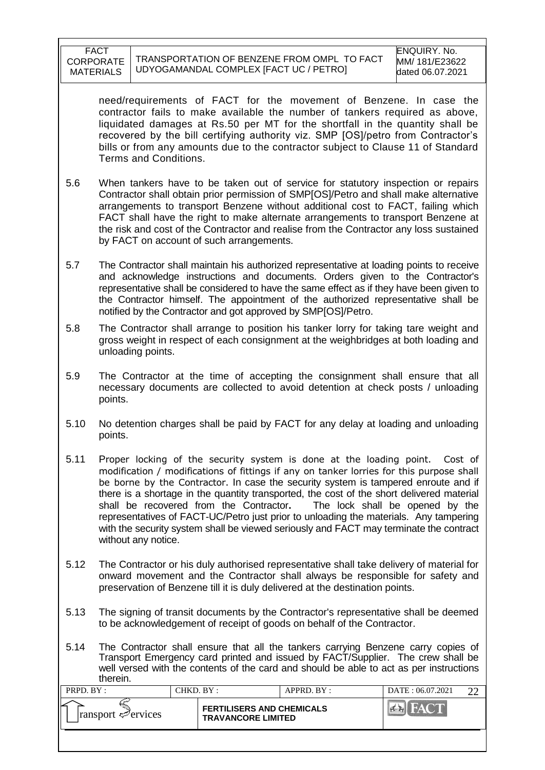need/requirements of FACT for the movement of Benzene. In case the contractor fails to make available the number of tankers required as above, liquidated damages at Rs.50 per MT for the shortfall in the quantity shall be recovered by the bill certifying authority viz. SMP [OS]/petro from Contractor"s bills or from any amounts due to the contractor subject to Clause 11 of Standard Terms and Conditions.

- 5.6 When tankers have to be taken out of service for statutory inspection or repairs Contractor shall obtain prior permission of SMP[OS]/Petro and shall make alternative arrangements to transport Benzene without additional cost to FACT, failing which FACT shall have the right to make alternate arrangements to transport Benzene at the risk and cost of the Contractor and realise from the Contractor any loss sustained by FACT on account of such arrangements.
- 5.7 The Contractor shall maintain his authorized representative at loading points to receive and acknowledge instructions and documents. Orders given to the Contractor's representative shall be considered to have the same effect as if they have been given to the Contractor himself. The appointment of the authorized representative shall be notified by the Contractor and got approved by SMP[OS]/Petro.
- 5.8 The Contractor shall arrange to position his tanker lorry for taking tare weight and gross weight in respect of each consignment at the weighbridges at both loading and unloading points.
- 5.9 The Contractor at the time of accepting the consignment shall ensure that all necessary documents are collected to avoid detention at check posts / unloading points.
- 5.10 No detention charges shall be paid by FACT for any delay at loading and unloading points.
- 5.11 Proper locking of the security system is done at the loading point. Cost of modification / modifications of fittings if any on tanker lorries for this purpose shall be borne by the Contractor. In case the security system is tampered enroute and if there is a shortage in the quantity transported, the cost of the short delivered material shall be recovered from the Contractor**.** The lock shall be opened by the representatives of FACT-UC/Petro just prior to unloading the materials. Any tampering with the security system shall be viewed seriously and FACT may terminate the contract without any notice.
- 5.12 The Contractor or his duly authorised representative shall take delivery of material for onward movement and the Contractor shall always be responsible for safety and preservation of Benzene till it is duly delivered at the destination points.
- 5.13 The signing of transit documents by the Contractor's representative shall be deemed to be acknowledgement of receipt of goods on behalf of the Contractor.
- 5.14 The Contractor shall ensure that all the tankers carrying Benzene carry copies of Transport Emergency card printed and issued by FACT/Supplier. The crew shall be well versed with the contents of the card and should be able to act as per instructions therein.

| PRPD. BY:                          | CHKD. BY : |                                                               | APPRD. BY: | DATE: 06.07.2021 |  |
|------------------------------------|------------|---------------------------------------------------------------|------------|------------------|--|
| $ $ ransport $\mathcal{P}$ ervices |            | <b>FERTILISERS AND CHEMICALS</b><br><b>TRAVANCORE LIMITED</b> |            | HACT             |  |
|                                    |            |                                                               |            |                  |  |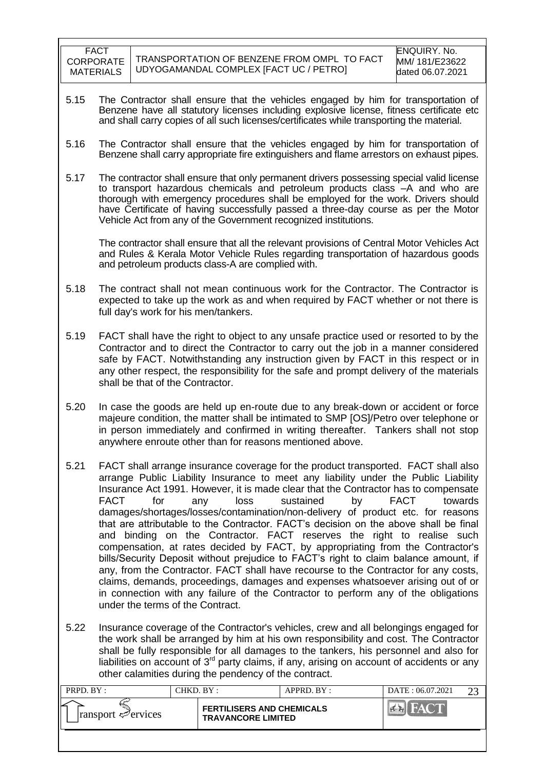- 5.15 The Contractor shall ensure that the vehicles engaged by him for transportation of Benzene have all statutory licenses including explosive license, fitness certificate etc and shall carry copies of all such licenses/certificates while transporting the material.
- 5.16 The Contractor shall ensure that the vehicles engaged by him for transportation of Benzene shall carry appropriate fire extinguishers and flame arrestors on exhaust pipes.
- 5.17 The contractor shall ensure that only permanent drivers possessing special valid license to transport hazardous chemicals and petroleum products class –A and who are thorough with emergency procedures shall be employed for the work. Drivers should have Certificate of having successfully passed a three-day course as per the Motor Vehicle Act from any of the Government recognized institutions.

The contractor shall ensure that all the relevant provisions of Central Motor Vehicles Act and Rules & Kerala Motor Vehicle Rules regarding transportation of hazardous goods and petroleum products class-A are complied with.

- 5.18 The contract shall not mean continuous work for the Contractor. The Contractor is expected to take up the work as and when required by FACT whether or not there is full day's work for his men/tankers.
- 5.19 FACT shall have the right to object to any unsafe practice used or resorted to by the Contractor and to direct the Contractor to carry out the job in a manner considered safe by FACT. Notwithstanding any instruction given by FACT in this respect or in any other respect, the responsibility for the safe and prompt delivery of the materials shall be that of the Contractor.
- 5.20 In case the goods are held up en-route due to any break-down or accident or force majeure condition, the matter shall be intimated to SMP [OS]/Petro over telephone or in person immediately and confirmed in writing thereafter. Tankers shall not stop anywhere enroute other than for reasons mentioned above.
- 5.21 FACT shall arrange insurance coverage for the product transported. FACT shall also arrange Public Liability Insurance to meet any liability under the Public Liability Insurance Act 1991. However, it is made clear that the Contractor has to compensate FACT for any loss sustained by FACT towards damages/shortages/losses/contamination/non-delivery of product etc. for reasons that are attributable to the Contractor. FACT"s decision on the above shall be final and binding on the Contractor. FACT reserves the right to realise such compensation, at rates decided by FACT, by appropriating from the Contractor's bills/Security Deposit without prejudice to FACT"s right to claim balance amount, if any, from the Contractor. FACT shall have recourse to the Contractor for any costs, claims, demands, proceedings, damages and expenses whatsoever arising out of or in connection with any failure of the Contractor to perform any of the obligations under the terms of the Contract.
- 5.22 Insurance coverage of the Contractor's vehicles, crew and all belongings engaged for the work shall be arranged by him at his own responsibility and cost. The Contractor shall be fully responsible for all damages to the tankers, his personnel and also for liabilities on account of 3<sup>rd</sup> party claims, if any, arising on account of accidents or any other calamities during the pendency of the contract.

| PRPD. BY:                               | CHKD. BY : |                                                               | APPRD. BY: | DATE: 06.07.2021 | າາ |
|-----------------------------------------|------------|---------------------------------------------------------------|------------|------------------|----|
| $\lvert$ ransport $\mathcal{P}$ ervices |            | <b>FERTILISERS AND CHEMICALS</b><br><b>TRAVANCORE LIMITED</b> |            | FACT             |    |
|                                         |            |                                                               |            |                  |    |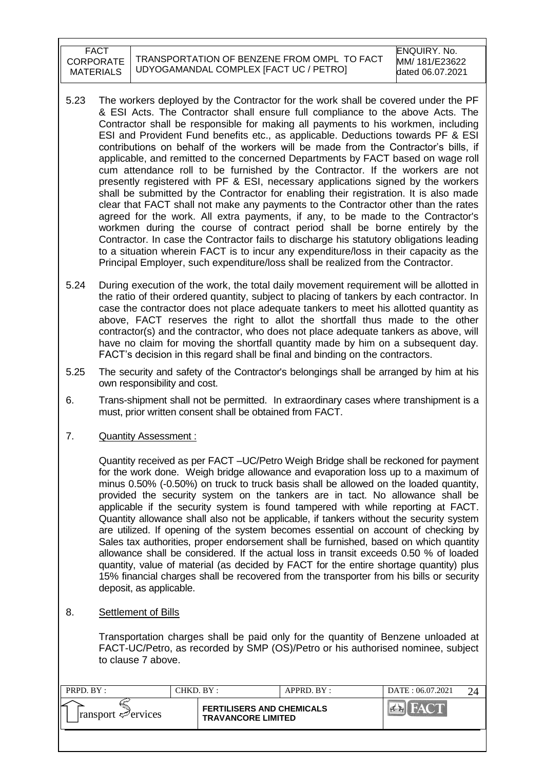- 5.23 The workers deployed by the Contractor for the work shall be covered under the PF & ESI Acts. The Contractor shall ensure full compliance to the above Acts. The Contractor shall be responsible for making all payments to his workmen, including ESI and Provident Fund benefits etc., as applicable. Deductions towards PF & ESI contributions on behalf of the workers will be made from the Contractor"s bills, if applicable, and remitted to the concerned Departments by FACT based on wage roll cum attendance roll to be furnished by the Contractor. If the workers are not presently registered with PF & ESI, necessary applications signed by the workers shall be submitted by the Contractor for enabling their registration. It is also made clear that FACT shall not make any payments to the Contractor other than the rates agreed for the work. All extra payments, if any, to be made to the Contractor's workmen during the course of contract period shall be borne entirely by the Contractor. In case the Contractor fails to discharge his statutory obligations leading to a situation wherein FACT is to incur any expenditure/loss in their capacity as the Principal Employer, such expenditure/loss shall be realized from the Contractor.
- 5.24 During execution of the work, the total daily movement requirement will be allotted in the ratio of their ordered quantity, subject to placing of tankers by each contractor. In case the contractor does not place adequate tankers to meet his allotted quantity as above, FACT reserves the right to allot the shortfall thus made to the other contractor(s) and the contractor, who does not place adequate tankers as above, will have no claim for moving the shortfall quantity made by him on a subsequent day. FACT"s decision in this regard shall be final and binding on the contractors.
- 5.25 The security and safety of the Contractor's belongings shall be arranged by him at his own responsibility and cost.
- 6. Trans-shipment shall not be permitted. In extraordinary cases where transhipment is a must, prior written consent shall be obtained from FACT.
- 7. Quantity Assessment :

Quantity received as per FACT –UC/Petro Weigh Bridge shall be reckoned for payment for the work done. Weigh bridge allowance and evaporation loss up to a maximum of minus 0.50% (-0.50%) on truck to truck basis shall be allowed on the loaded quantity, provided the security system on the tankers are in tact. No allowance shall be applicable if the security system is found tampered with while reporting at FACT. Quantity allowance shall also not be applicable, if tankers without the security system are utilized. If opening of the system becomes essential on account of checking by Sales tax authorities, proper endorsement shall be furnished, based on which quantity allowance shall be considered. If the actual loss in transit exceeds 0.50 % of loaded quantity, value of material (as decided by FACT for the entire shortage quantity) plus 15% financial charges shall be recovered from the transporter from his bills or security deposit, as applicable.

8. Settlement of Bills

Transportation charges shall be paid only for the quantity of Benzene unloaded at FACT-UC/Petro, as recorded by SMP (OS)/Petro or his authorised nominee, subject to clause 7 above.

| PRPD. BY:                               | CHKD. BY :                                                    | APPRD. BY: | DATE: 06.07.2021 |  |
|-----------------------------------------|---------------------------------------------------------------|------------|------------------|--|
| $\lvert$ ransport $\mathcal{P}$ ervices | <b>FERTILISERS AND CHEMICALS</b><br><b>TRAVANCORE LIMITED</b> |            |                  |  |
|                                         |                                                               |            |                  |  |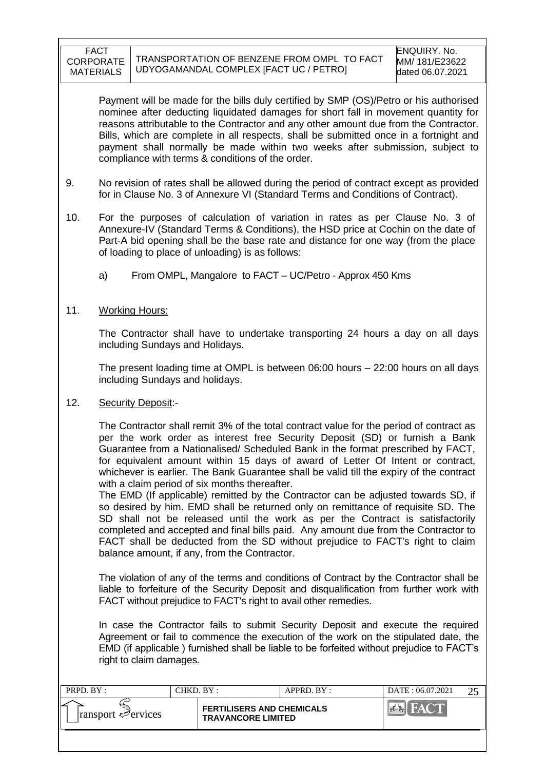Payment will be made for the bills duly certified by SMP (OS)/Petro or his authorised nominee after deducting liquidated damages for short fall in movement quantity for reasons attributable to the Contractor and any other amount due from the Contractor. Bills, which are complete in all respects, shall be submitted once in a fortnight and payment shall normally be made within two weeks after submission, subject to compliance with terms & conditions of the order.

- 9. No revision of rates shall be allowed during the period of contract except as provided for in Clause No. 3 of Annexure VI (Standard Terms and Conditions of Contract).
- 10. For the purposes of calculation of variation in rates as per Clause No. 3 of Annexure-IV (Standard Terms & Conditions), the HSD price at Cochin on the date of Part-A bid opening shall be the base rate and distance for one way (from the place of loading to place of unloading) is as follows:
	- a) From OMPL, Mangalore to FACT UC/Petro Approx 450 Kms
- 11. Working Hours:

The Contractor shall have to undertake transporting 24 hours a day on all days including Sundays and Holidays.

The present loading time at OMPL is between 06:00 hours – 22:00 hours on all days including Sundays and holidays.

12. Security Deposit:-

The Contractor shall remit 3% of the total contract value for the period of contract as per the work order as interest free Security Deposit (SD) or furnish a Bank Guarantee from a Nationalised/ Scheduled Bank in the format prescribed by FACT, for equivalent amount within 15 days of award of Letter Of Intent or contract, whichever is earlier. The Bank Guarantee shall be valid till the expiry of the contract with a claim period of six months thereafter.

The EMD (If applicable) remitted by the Contractor can be adjusted towards SD, if so desired by him. EMD shall be returned only on remittance of requisite SD. The SD shall not be released until the work as per the Contract is satisfactorily completed and accepted and final bills paid. Any amount due from the Contractor to FACT shall be deducted from the SD without prejudice to FACT's right to claim balance amount, if any, from the Contractor.

The violation of any of the terms and conditions of Contract by the Contractor shall be liable to forfeiture of the Security Deposit and disqualification from further work with FACT without prejudice to FACT's right to avail other remedies.

In case the Contractor fails to submit Security Deposit and execute the required Agreement or fail to commence the execution of the work on the stipulated date, the EMD (if applicable ) furnished shall be liable to be forfeited without prejudice to FACT"s right to claim damages.

| PRPD. BY:                               | CHKD. BY :                                                    | $APPRD$ . $BY$ : | DATE: 06.07.2021 | ົດຂ |
|-----------------------------------------|---------------------------------------------------------------|------------------|------------------|-----|
| $\lvert$ ransport $\mathcal{P}$ ervices | <b>FERTILISERS AND CHEMICALS</b><br><b>TRAVANCORE LIMITED</b> |                  |                  |     |
|                                         |                                                               |                  |                  |     |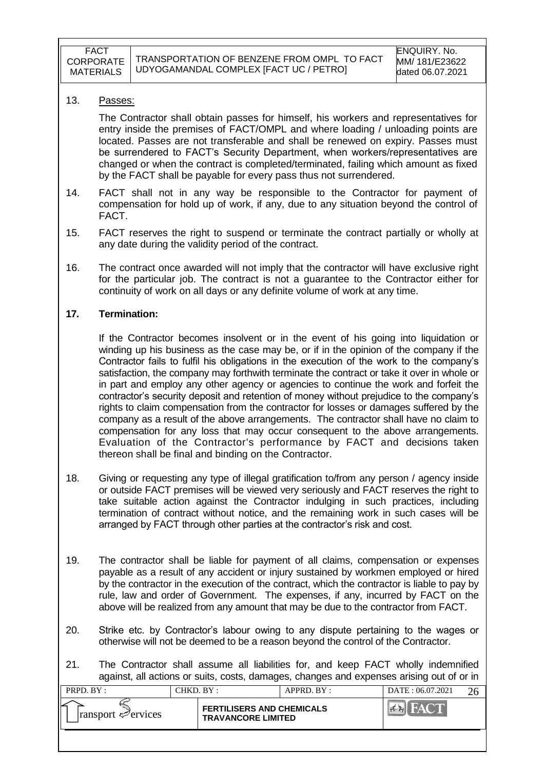#### 13. Passes:

The Contractor shall obtain passes for himself, his workers and representatives for entry inside the premises of FACT/OMPL and where loading / unloading points are located. Passes are not transferable and shall be renewed on expiry. Passes must be surrendered to FACT"s Security Department, when workers/representatives are changed or when the contract is completed/terminated, failing which amount as fixed by the FACT shall be payable for every pass thus not surrendered.

- 14. FACT shall not in any way be responsible to the Contractor for payment of compensation for hold up of work, if any, due to any situation beyond the control of FACT.
- 15. FACT reserves the right to suspend or terminate the contract partially or wholly at any date during the validity period of the contract.
- 16. The contract once awarded will not imply that the contractor will have exclusive right for the particular job. The contract is not a guarantee to the Contractor either for continuity of work on all days or any definite volume of work at any time.

### **17. Termination:**

If the Contractor becomes insolvent or in the event of his going into liquidation or winding up his business as the case may be, or if in the opinion of the company if the Contractor fails to fulfil his obligations in the execution of the work to the company"s satisfaction, the company may forthwith terminate the contract or take it over in whole or in part and employ any other agency or agencies to continue the work and forfeit the contractor"s security deposit and retention of money without prejudice to the company"s rights to claim compensation from the contractor for losses or damages suffered by the company as a result of the above arrangements. The contractor shall have no claim to compensation for any loss that may occur consequent to the above arrangements. Evaluation of the Contractor's performance by FACT and decisions taken thereon shall be final and binding on the Contractor.

- 18. Giving or requesting any type of illegal gratification to/from any person / agency inside or outside FACT premises will be viewed very seriously and FACT reserves the right to take suitable action against the Contractor indulging in such practices, including termination of contract without notice, and the remaining work in such cases will be arranged by FACT through other parties at the contractor's risk and cost.
- 19. The contractor shall be liable for payment of all claims, compensation or expenses payable as a result of any accident or injury sustained by workmen employed or hired by the contractor in the execution of the contract, which the contractor is liable to pay by rule, law and order of Government. The expenses, if any, incurred by FACT on the above will be realized from any amount that may be due to the contractor from FACT.
- 20. Strike etc. by Contractor"s labour owing to any dispute pertaining to the wages or otherwise will not be deemed to be a reason beyond the control of the Contractor.
- 21. The Contractor shall assume all liabilities for, and keep FACT wholly indemnified against, all actions or suits, costs, damages, changes and expenses arising out of or in

| PRPD. BY :                      | CHKD. BY :                                                    | $APPRD$ . $BY$ : | DATE: 06.07.2021 |  |
|---------------------------------|---------------------------------------------------------------|------------------|------------------|--|
| $\lvert$ ransport $\ll$ ervices | <b>FERTILISERS AND CHEMICALS</b><br><b>TRAVANCORE LIMITED</b> |                  | FAY C            |  |
|                                 |                                                               |                  |                  |  |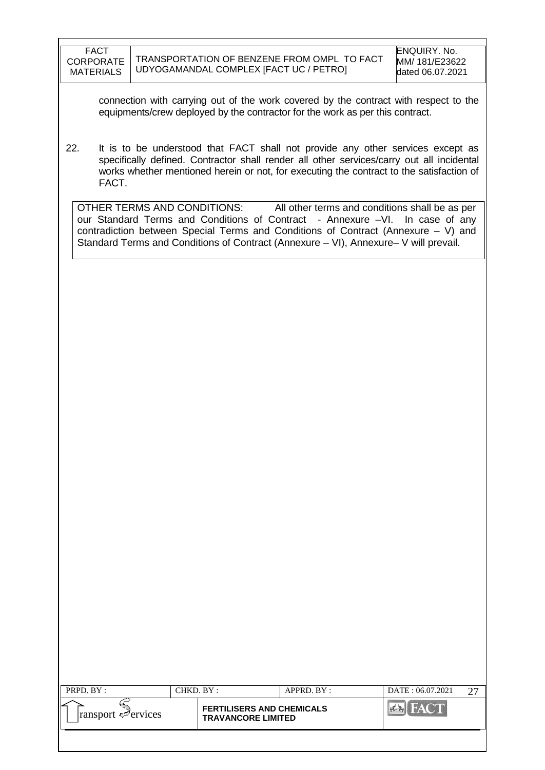connection with carrying out of the work covered by the contract with respect to the equipments/crew deployed by the contractor for the work as per this contract.

22. It is to be understood that FACT shall not provide any other services except as specifically defined. Contractor shall render all other services/carry out all incidental works whether mentioned herein or not, for executing the contract to the satisfaction of FACT.

OTHER TERMS AND CONDITIONS: All other terms and conditions shall be as per our Standard Terms and Conditions of Contract - Annexure -VI. In case of any contradiction between Special Terms and Conditions of Contract (Annexure – V) and Standard Terms and Conditions of Contract (Annexure – VI), Annexure– V will prevail.

| PRPD. BY :                              | CHKD. BY :                                                    | APPRD. BY: | DATE: 06.07.2021 |  |
|-----------------------------------------|---------------------------------------------------------------|------------|------------------|--|
| $\lvert$ ransport $\mathcal{P}$ ervices | <b>FERTILISERS AND CHEMICALS</b><br><b>TRAVANCORE LIMITED</b> |            |                  |  |
|                                         |                                                               |            |                  |  |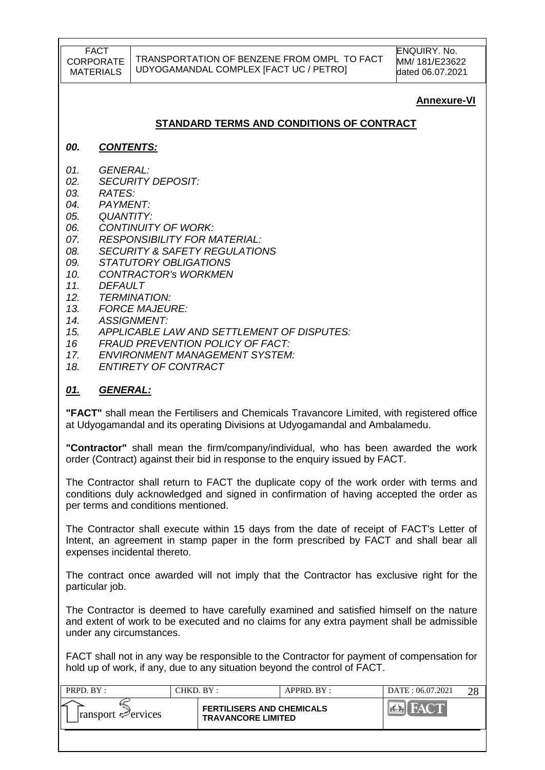### **Annexure-VI**

### **STANDARD TERMS AND CONDITIONS OF CONTRACT**

#### *00. CONTENTS:*

- *01. GENERAL:*
- *02. SECURITY DEPOSIT:*
- *03. RATES:*
- *04. PAYMENT:*
- *05. QUANTITY:*
- *06. CONTINUITY OF WORK:*
- *07. RESPONSIBILITY FOR MATERIAL:*
- *08. SECURITY & SAFETY REGULATIONS*
- *09. STATUTORY OBLIGATIONS*
- *10. CONTRACTOR's WORKMEN*
- *11. DEFAULT*
- *12. TERMINATION:*
- *13. FORCE MAJEURE:*
- *14. ASSIGNMENT:*
- *15. APPLICABLE LAW AND SETTLEMENT OF DISPUTES:*
- *16 FRAUD PREVENTION POLICY OF FACT:*
- *17. ENVIRONMENT MANAGEMENT SYSTEM:*
- *18. ENTIRETY OF CONTRACT*

#### *01. GENERAL:*

**"FACT"** shall mean the Fertilisers and Chemicals Travancore Limited, with registered office at Udyogamandal and its operating Divisions at Udyogamandal and Ambalamedu.

**"Contractor"** shall mean the firm/company/individual, who has been awarded the work order (Contract) against their bid in response to the enquiry issued by FACT.

The Contractor shall return to FACT the duplicate copy of the work order with terms and conditions duly acknowledged and signed in confirmation of having accepted the order as per terms and conditions mentioned.

The Contractor shall execute within 15 days from the date of receipt of FACT's Letter of Intent, an agreement in stamp paper in the form prescribed by FACT and shall bear all expenses incidental thereto.

The contract once awarded will not imply that the Contractor has exclusive right for the particular job.

The Contractor is deemed to have carefully examined and satisfied himself on the nature and extent of work to be executed and no claims for any extra payment shall be admissible under any circumstances.

FACT shall not in any way be responsible to the Contractor for payment of compensation for hold up of work, if any, due to any situation beyond the control of FACT.

| PRPD. BY:                               | CHKD. BY : |                                                               | APPRD. BY: | DATE: 06.07.2021 |  |
|-----------------------------------------|------------|---------------------------------------------------------------|------------|------------------|--|
| $\lvert$ ransport $\mathcal{P}$ ervices |            | <b>FERTILISERS AND CHEMICALS</b><br><b>TRAVANCORE LIMITED</b> |            |                  |  |
|                                         |            |                                                               |            |                  |  |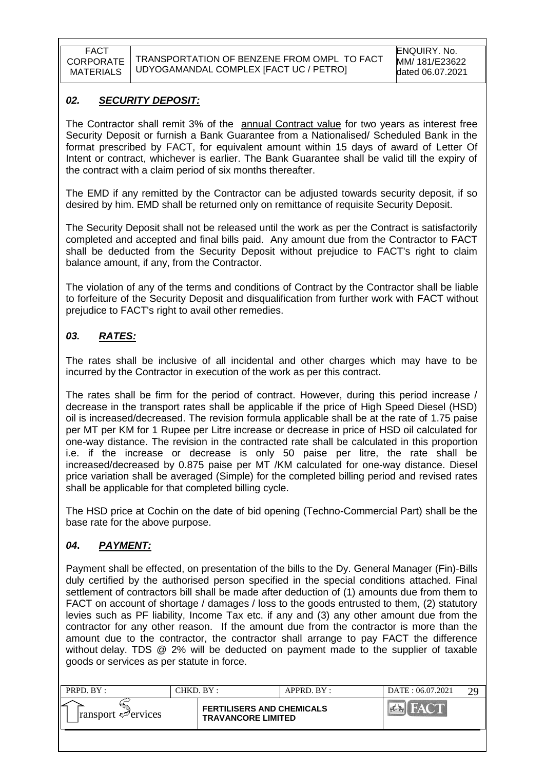### *02. SECURITY DEPOSIT:*

The Contractor shall remit 3% of the **annual Contract value** for two years as interest free Security Deposit or furnish a Bank Guarantee from a Nationalised/ Scheduled Bank in the format prescribed by FACT, for equivalent amount within 15 days of award of Letter Of Intent or contract, whichever is earlier. The Bank Guarantee shall be valid till the expiry of the contract with a claim period of six months thereafter.

The EMD if any remitted by the Contractor can be adjusted towards security deposit, if so desired by him. EMD shall be returned only on remittance of requisite Security Deposit.

The Security Deposit shall not be released until the work as per the Contract is satisfactorily completed and accepted and final bills paid. Any amount due from the Contractor to FACT shall be deducted from the Security Deposit without prejudice to FACT's right to claim balance amount, if any, from the Contractor.

The violation of any of the terms and conditions of Contract by the Contractor shall be liable to forfeiture of the Security Deposit and disqualification from further work with FACT without prejudice to FACT's right to avail other remedies.

### *03. RATES:*

The rates shall be inclusive of all incidental and other charges which may have to be incurred by the Contractor in execution of the work as per this contract.

The rates shall be firm for the period of contract. However, during this period increase / decrease in the transport rates shall be applicable if the price of High Speed Diesel (HSD) oil is increased/decreased. The revision formula applicable shall be at the rate of 1.75 paise per MT per KM for 1 Rupee per Litre increase or decrease in price of HSD oil calculated for one-way distance. The revision in the contracted rate shall be calculated in this proportion i.e. if the increase or decrease is only 50 paise per litre, the rate shall be increased/decreased by 0.875 paise per MT /KM calculated for one-way distance. Diesel price variation shall be averaged (Simple) for the completed billing period and revised rates shall be applicable for that completed billing cycle.

The HSD price at Cochin on the date of bid opening (Techno-Commercial Part) shall be the base rate for the above purpose.

### *04***.** *PAYMENT:*

Payment shall be effected, on presentation of the bills to the Dy. General Manager (Fin)-Bills duly certified by the authorised person specified in the special conditions attached. Final settlement of contractors bill shall be made after deduction of (1) amounts due from them to FACT on account of shortage / damages / loss to the goods entrusted to them, (2) statutory levies such as PF liability, Income Tax etc. if any and (3) any other amount due from the contractor for any other reason. If the amount due from the contractor is more than the amount due to the contractor, the contractor shall arrange to pay FACT the difference without delay. TDS @ 2% will be deducted on payment made to the supplier of taxable goods or services as per statute in force.

| PRPD. BY:                               | CHKD. BY :-                                                   | $APPRD$ . $BY$ : | DATE: 06.07.2021 |  |
|-----------------------------------------|---------------------------------------------------------------|------------------|------------------|--|
| $\lvert$ ransport $\mathcal{P}$ ervices | <b>FERTILISERS AND CHEMICALS</b><br><b>TRAVANCORE LIMITED</b> |                  |                  |  |
|                                         |                                                               |                  |                  |  |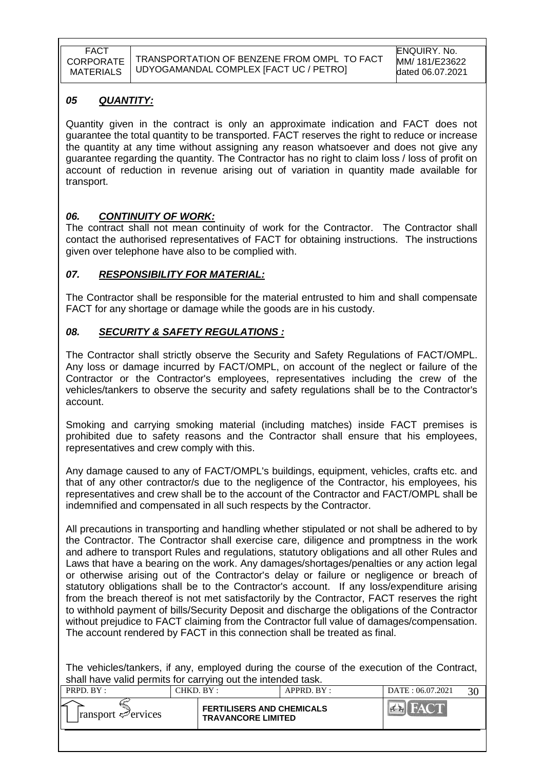### *05 QUANTITY:*

Quantity given in the contract is only an approximate indication and FACT does not guarantee the total quantity to be transported. FACT reserves the right to reduce or increase the quantity at any time without assigning any reason whatsoever and does not give any guarantee regarding the quantity. The Contractor has no right to claim loss / loss of profit on account of reduction in revenue arising out of variation in quantity made available for transport.

### *06. CONTINUITY OF WORK:*

The contract shall not mean continuity of work for the Contractor. The Contractor shall contact the authorised representatives of FACT for obtaining instructions. The instructions given over telephone have also to be complied with.

### *07. RESPONSIBILITY FOR MATERIAL:*

The Contractor shall be responsible for the material entrusted to him and shall compensate FACT for any shortage or damage while the goods are in his custody.

### *08. SECURITY & SAFETY REGULATIONS :*

The Contractor shall strictly observe the Security and Safety Regulations of FACT/OMPL. Any loss or damage incurred by FACT/OMPL, on account of the neglect or failure of the Contractor or the Contractor's employees, representatives including the crew of the vehicles/tankers to observe the security and safety regulations shall be to the Contractor's account.

Smoking and carrying smoking material (including matches) inside FACT premises is prohibited due to safety reasons and the Contractor shall ensure that his employees, representatives and crew comply with this.

Any damage caused to any of FACT/OMPL's buildings, equipment, vehicles, crafts etc. and that of any other contractor/s due to the negligence of the Contractor, his employees, his representatives and crew shall be to the account of the Contractor and FACT/OMPL shall be indemnified and compensated in all such respects by the Contractor.

All precautions in transporting and handling whether stipulated or not shall be adhered to by the Contractor. The Contractor shall exercise care, diligence and promptness in the work and adhere to transport Rules and regulations, statutory obligations and all other Rules and Laws that have a bearing on the work. Any damages/shortages/penalties or any action legal or otherwise arising out of the Contractor's delay or failure or negligence or breach of statutory obligations shall be to the Contractor's account. If any loss/expenditure arising from the breach thereof is not met satisfactorily by the Contractor, FACT reserves the right to withhold payment of bills/Security Deposit and discharge the obligations of the Contractor without prejudice to FACT claiming from the Contractor full value of damages/compensation. The account rendered by FACT in this connection shall be treated as final.

The vehicles/tankers, if any, employed during the course of the execution of the Contract, shall have valid permits for carrying out the intended task.

| PRPD. BY:                               | CHKD. BY: |                                                               | APPRD. BY: | DATE: 06.07.2021 |  |
|-----------------------------------------|-----------|---------------------------------------------------------------|------------|------------------|--|
| $\lvert$ ransport $\mathcal{P}$ ervices |           | <b>FERTILISERS AND CHEMICALS</b><br><b>TRAVANCORE LIMITED</b> |            |                  |  |
|                                         |           |                                                               |            |                  |  |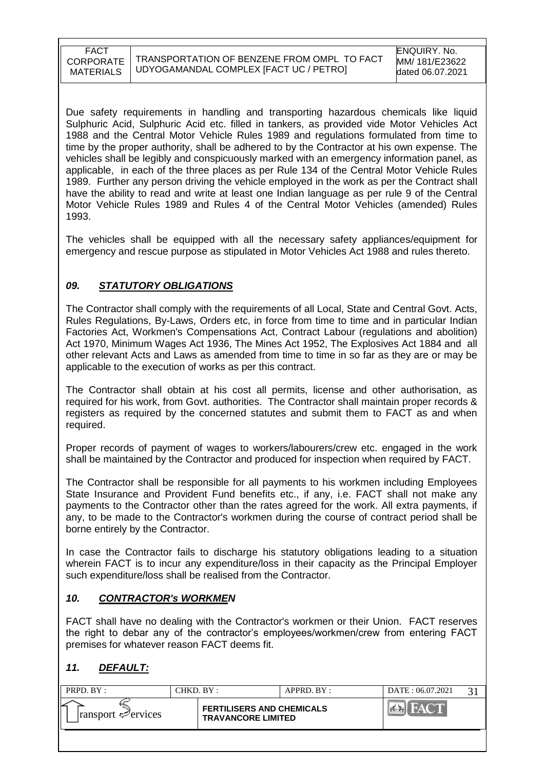Due safety requirements in handling and transporting hazardous chemicals like liquid Sulphuric Acid, Sulphuric Acid etc. filled in tankers, as provided vide Motor Vehicles Act 1988 and the Central Motor Vehicle Rules 1989 and regulations formulated from time to time by the proper authority, shall be adhered to by the Contractor at his own expense. The vehicles shall be legibly and conspicuously marked with an emergency information panel, as applicable, in each of the three places as per Rule 134 of the Central Motor Vehicle Rules 1989. Further any person driving the vehicle employed in the work as per the Contract shall have the ability to read and write at least one Indian language as per rule 9 of the Central Motor Vehicle Rules 1989 and Rules 4 of the Central Motor Vehicles (amended) Rules 1993.

The vehicles shall be equipped with all the necessary safety appliances/equipment for emergency and rescue purpose as stipulated in Motor Vehicles Act 1988 and rules thereto.

### *09. STATUTORY OBLIGATIONS*

The Contractor shall comply with the requirements of all Local, State and Central Govt. Acts, Rules Regulations, By-Laws, Orders etc, in force from time to time and in particular Indian Factories Act, Workmen's Compensations Act, Contract Labour (regulations and abolition) Act 1970, Minimum Wages Act 1936, The Mines Act 1952, The Explosives Act 1884 and all other relevant Acts and Laws as amended from time to time in so far as they are or may be applicable to the execution of works as per this contract.

The Contractor shall obtain at his cost all permits, license and other authorisation, as required for his work, from Govt. authorities. The Contractor shall maintain proper records & registers as required by the concerned statutes and submit them to FACT as and when required.

Proper records of payment of wages to workers/labourers/crew etc. engaged in the work shall be maintained by the Contractor and produced for inspection when required by FACT.

The Contractor shall be responsible for all payments to his workmen including Employees State Insurance and Provident Fund benefits etc., if any, i.e. FACT shall not make any payments to the Contractor other than the rates agreed for the work. All extra payments, if any, to be made to the Contractor's workmen during the course of contract period shall be borne entirely by the Contractor.

In case the Contractor fails to discharge his statutory obligations leading to a situation wherein FACT is to incur any expenditure/loss in their capacity as the Principal Employer such expenditure/loss shall be realised from the Contractor.

### *10. CONTRACTOR's WORKMEN*

FACT shall have no dealing with the Contractor's workmen or their Union. FACT reserves the right to debar any of the contractor's employees/workmen/crew from entering FACT premises for whatever reason FACT deems fit.

### *11. DEFAULT:*

| PRPD. BY:                          | CHKD. BY: |                                                               | APPRD. BY: | DATE: 06.07.2021 |  |
|------------------------------------|-----------|---------------------------------------------------------------|------------|------------------|--|
| $ $ ransport $\mathcal{P}$ ervices |           | <b>FERTILISERS AND CHEMICALS</b><br><b>TRAVANCORE LIMITED</b> |            |                  |  |
|                                    |           |                                                               |            |                  |  |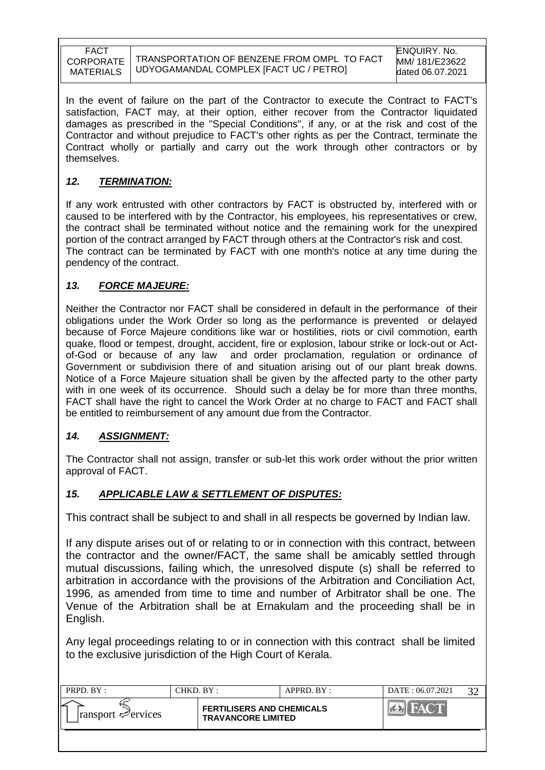In the event of failure on the part of the Contractor to execute the Contract to FACT's satisfaction, FACT may, at their option, either recover from the Contractor liquidated damages as prescribed in the "Special Conditions", if any, or at the risk and cost of the Contractor and without prejudice to FACT's other rights as per the Contract, terminate the Contract wholly or partially and carry out the work through other contractors or by themselves.

### *12. TERMINATION:*

If any work entrusted with other contractors by FACT is obstructed by, interfered with or caused to be interfered with by the Contractor, his employees, his representatives or crew, the contract shall be terminated without notice and the remaining work for the unexpired portion of the contract arranged by FACT through others at the Contractor's risk and cost. The contract can be terminated by FACT with one month's notice at any time during the pendency of the contract.

### *13. FORCE MAJEURE:*

Neither the Contractor nor FACT shall be considered in default in the performance of their obligations under the Work Order so long as the performance is prevented or delayed because of Force Majeure conditions like war or hostilities, riots or civil commotion, earth quake, flood or tempest, drought, accident, fire or explosion, labour strike or lock-out or Actof-God or because of any law and order proclamation, regulation or ordinance of Government or subdivision there of and situation arising out of our plant break downs. Notice of a Force Majeure situation shall be given by the affected party to the other party with in one week of its occurrence. Should such a delay be for more than three months, FACT shall have the right to cancel the Work Order at no charge to FACT and FACT shall be entitled to reimbursement of any amount due from the Contractor.

### *14. ASSIGNMENT:*

The Contractor shall not assign, transfer or sub-let this work order without the prior written approval of FACT.

### *15. APPLICABLE LAW & SETTLEMENT OF DISPUTES:*

This contract shall be subject to and shall in all respects be governed by Indian law.

If any dispute arises out of or relating to or in connection with this contract, between the contractor and the owner/FACT, the same shall be amicably settled through mutual discussions, failing which, the unresolved dispute (s) shall be referred to arbitration in accordance with the provisions of the Arbitration and Conciliation Act, 1996, as amended from time to time and number of Arbitrator shall be one. The Venue of the Arbitration shall be at Ernakulam and the proceeding shall be in English.

Any legal proceedings relating to or in connection with this contract shall be limited to the exclusive jurisdiction of the High Court of Kerala.

| PRPD. BY:                               | CHKD. BY :- |                                                               | $APPRD$ . $BY$ : | DATE: 06.07.2021 | $2^{\circ}$ |
|-----------------------------------------|-------------|---------------------------------------------------------------|------------------|------------------|-------------|
| $\lvert$ ransport $\mathcal{P}$ ervices |             | <b>FERTILISERS AND CHEMICALS</b><br><b>TRAVANCORE LIMITED</b> |                  | YOU              |             |
|                                         |             |                                                               |                  |                  |             |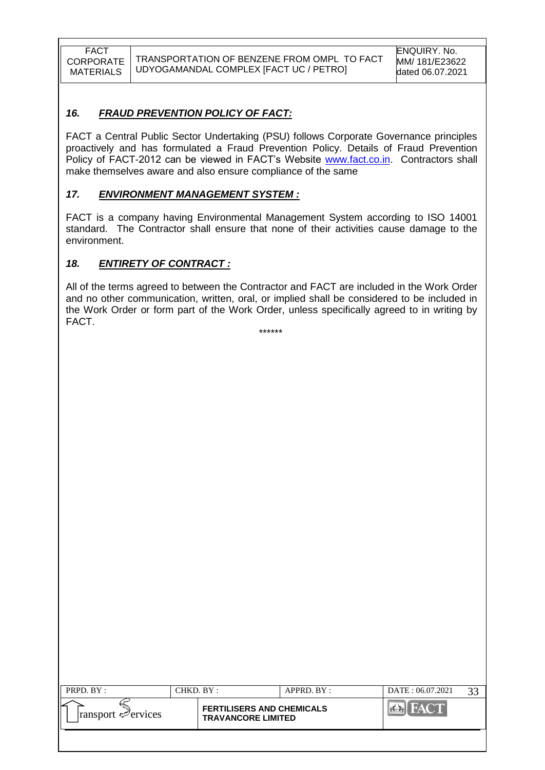### *16. FRAUD PREVENTION POLICY OF FACT:*

FACT a Central Public Sector Undertaking (PSU) follows Corporate Governance principles proactively and has formulated a Fraud Prevention Policy. Details of Fraud Prevention Policy of FACT-2012 can be viewed in FACT's Website [www.fact.co.in.](http://www.fact.co.in/) Contractors shall make themselves aware and also ensure compliance of the same

### *17. ENVIRONMENT MANAGEMENT SYSTEM :*

FACT is a company having Environmental Management System according to ISO 14001 standard. The Contractor shall ensure that none of their activities cause damage to the environment.

### *18. ENTIRETY OF CONTRACT :*

All of the terms agreed to between the Contractor and FACT are included in the Work Order and no other communication, written, oral, or implied shall be considered to be included in the Work Order or form part of the Work Order, unless specifically agreed to in writing by FACT.

\*\*\*\*\*\*

| PRPD. BY:                               | CHKD. BY :                                                    | APPRD. BY: | DATE: 06.07.2021 | 33 |
|-----------------------------------------|---------------------------------------------------------------|------------|------------------|----|
| $\lvert$ ransport $\mathcal{P}$ ervices | <b>FERTILISERS AND CHEMICALS</b><br><b>TRAVANCORE LIMITED</b> |            | <b>FACT!</b>     |    |
|                                         |                                                               |            |                  |    |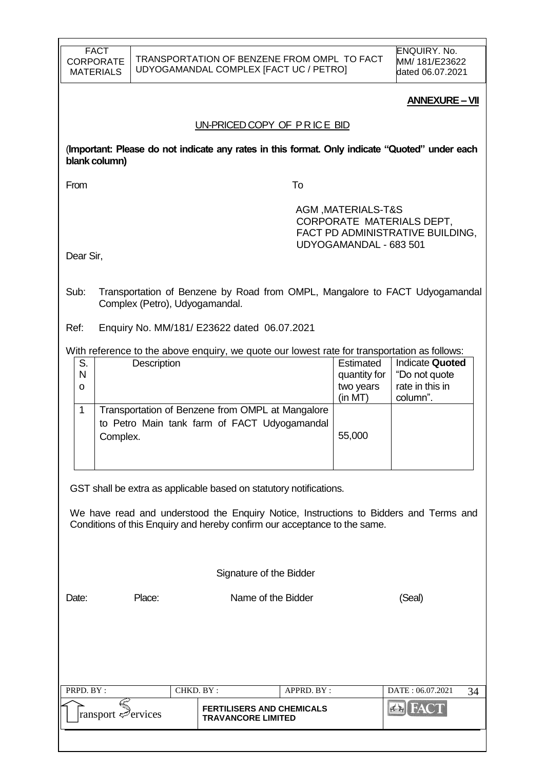| FACT      |
|-----------|
| CORPORATE |
| MATERIALS |

ENQUIRY. No. MM/ 181/E23622 dated 06.07.2021

#### **ANNEXURE –VII**

#### UN-PRICED COPY OF P R IC E BID

(**Important: Please do not indicate any rates in this format. Only indicate "Quoted" under each blank column)**

From To

 AGM ,MATERIALS-T&S CORPORATE MATERIALS DEPT, FACT PD ADMINISTRATIVE BUILDING, UDYOGAMANDAL - 683 501

Dear Sir,

- Sub: Transportation of Benzene by Road from OMPL, Mangalore to FACT Udyogamandal Complex (Petro), Udyogamandal.
- Ref: Enquiry No. MM/181/ E23622 dated 06.07.2021

#### With reference to the above enquiry, we quote our lowest rate for transportation as follows:

| S.           | Description                                      | Estimated    | <b>Indicate Quoted</b> |
|--------------|--------------------------------------------------|--------------|------------------------|
| $\mathsf{N}$ |                                                  | quantity for | "Do not quote"         |
| O            |                                                  | two years    | rate in this in        |
|              |                                                  | (in MT)      | column".               |
|              | Transportation of Benzene from OMPL at Mangalore |              |                        |
|              | to Petro Main tank farm of FACT Udyogamandal     |              |                        |
|              | Complex.                                         | 55,000       |                        |
|              |                                                  |              |                        |
|              |                                                  |              |                        |

GST shall be extra as applicable based on statutory notifications.

We have read and understood the Enquiry Notice, Instructions to Bidders and Terms and Conditions of this Enquiry and hereby confirm our acceptance to the same.

Signature of the Bidder

Date: Place: Name of the Bidder (Seal)

| PRPD. BY:                               | CHKD. BY : |                                                               | $APPRD$ . $BY$ : | DATE: 06.07.2021 |  |
|-----------------------------------------|------------|---------------------------------------------------------------|------------------|------------------|--|
| $\lvert$ ransport $\mathcal{P}$ ervices |            | <b>FERTILISERS AND CHEMICALS</b><br><b>TRAVANCORE LIMITED</b> |                  |                  |  |
|                                         |            |                                                               |                  |                  |  |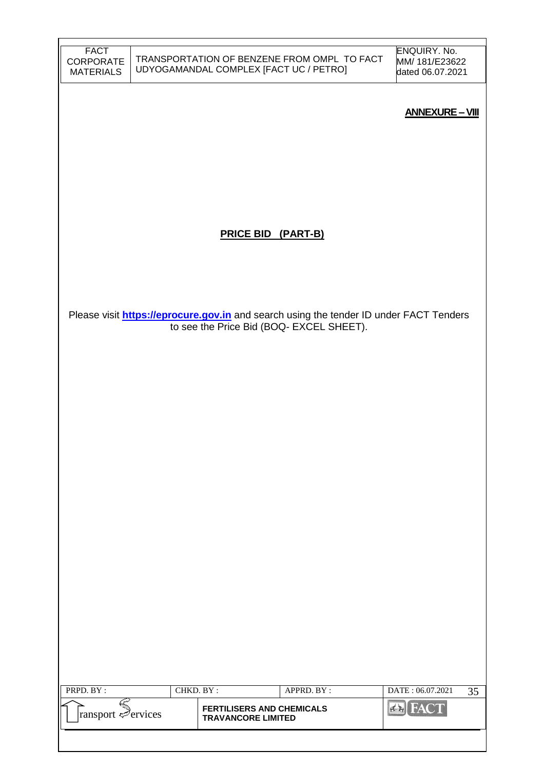| <b>FACT</b><br><b>CORPORATE</b><br><b>MATERIALS</b> |           | UDYOGAMANDAL COMPLEX [FACT UC / PETRO]                        | TRANSPORTATION OF BENZENE FROM OMPL TO FACT                                                                                               | ENQUIRY. No.<br>MM/ 181/E23622<br>dated 06.07.2021 |
|-----------------------------------------------------|-----------|---------------------------------------------------------------|-------------------------------------------------------------------------------------------------------------------------------------------|----------------------------------------------------|
|                                                     |           |                                                               |                                                                                                                                           | <b>ANNEXURE - VIII</b>                             |
|                                                     |           |                                                               |                                                                                                                                           |                                                    |
|                                                     |           |                                                               |                                                                                                                                           |                                                    |
|                                                     |           |                                                               |                                                                                                                                           |                                                    |
|                                                     |           | <b>PRICE BID (PART-B)</b>                                     |                                                                                                                                           |                                                    |
|                                                     |           |                                                               |                                                                                                                                           |                                                    |
|                                                     |           |                                                               |                                                                                                                                           |                                                    |
|                                                     |           |                                                               | Please visit <b>https://eprocure.gov.in</b> and search using the tender ID under FACT Tenders<br>to see the Price Bid (BOQ- EXCEL SHEET). |                                                    |
|                                                     |           |                                                               |                                                                                                                                           |                                                    |
|                                                     |           |                                                               |                                                                                                                                           |                                                    |
|                                                     |           |                                                               |                                                                                                                                           |                                                    |
|                                                     |           |                                                               |                                                                                                                                           |                                                    |
|                                                     |           |                                                               |                                                                                                                                           |                                                    |
|                                                     |           |                                                               |                                                                                                                                           |                                                    |
|                                                     |           |                                                               |                                                                                                                                           |                                                    |
|                                                     |           |                                                               |                                                                                                                                           |                                                    |
|                                                     |           |                                                               |                                                                                                                                           |                                                    |
|                                                     |           |                                                               |                                                                                                                                           |                                                    |
| PRPD. BY:                                           | CHKD. BY: |                                                               | APPRD. BY:                                                                                                                                | DATE: 06.07.2021<br>35                             |
| ransport Services                                   |           | <b>FERTILISERS AND CHEMICALS</b><br><b>TRAVANCORE LIMITED</b> |                                                                                                                                           | <b>Ex</b> FACT                                     |
|                                                     |           |                                                               |                                                                                                                                           |                                                    |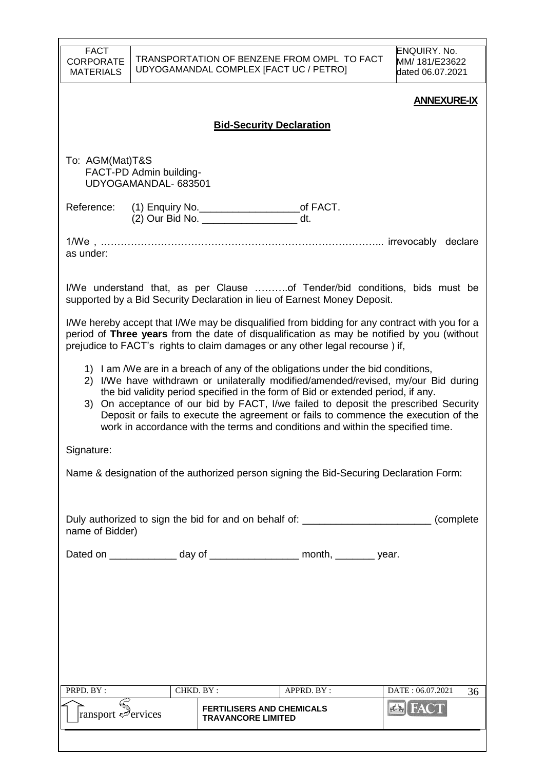| <b>FACT</b><br><b>CORPORATE</b><br><b>MATERIALS</b> |                                                 | UDYOGAMANDAL COMPLEX [FACT UC / PETRO] | TRANSPORTATION OF BENZENE FROM OMPL TO FACT                                                                                                                                                                                                                                                                                                                                                                                                                                                                                | <b>ENQUIRY. No.</b><br>MM/ 181/E23622<br>dated 06.07.2021 |  |  |  |  |  |
|-----------------------------------------------------|-------------------------------------------------|----------------------------------------|----------------------------------------------------------------------------------------------------------------------------------------------------------------------------------------------------------------------------------------------------------------------------------------------------------------------------------------------------------------------------------------------------------------------------------------------------------------------------------------------------------------------------|-----------------------------------------------------------|--|--|--|--|--|
|                                                     |                                                 |                                        |                                                                                                                                                                                                                                                                                                                                                                                                                                                                                                                            | <b>ANNEXURE-IX</b>                                        |  |  |  |  |  |
|                                                     | <b>Bid-Security Declaration</b>                 |                                        |                                                                                                                                                                                                                                                                                                                                                                                                                                                                                                                            |                                                           |  |  |  |  |  |
|                                                     |                                                 |                                        |                                                                                                                                                                                                                                                                                                                                                                                                                                                                                                                            |                                                           |  |  |  |  |  |
| To: AGM(Mat)T&S                                     | FACT-PD Admin building-<br>UDYOGAMANDAL- 683501 |                                        |                                                                                                                                                                                                                                                                                                                                                                                                                                                                                                                            |                                                           |  |  |  |  |  |
| Reference:                                          |                                                 | (2) Our Bid No. dt.                    |                                                                                                                                                                                                                                                                                                                                                                                                                                                                                                                            |                                                           |  |  |  |  |  |
| as under:                                           |                                                 |                                        | 1/We,………………………………………………………………………… irrevocably declare                                                                                                                                                                                                                                                                                                                                                                                                                                                                      |                                                           |  |  |  |  |  |
|                                                     |                                                 |                                        | I/We understand that, as per Clause of Tender/bid conditions, bids must be<br>supported by a Bid Security Declaration in lieu of Earnest Money Deposit.                                                                                                                                                                                                                                                                                                                                                                    |                                                           |  |  |  |  |  |
|                                                     |                                                 |                                        | I/We hereby accept that I/We may be disqualified from bidding for any contract with you for a<br>period of Three years from the date of disqualification as may be notified by you (without<br>prejudice to FACT's rights to claim damages or any other legal recourse) if,                                                                                                                                                                                                                                                |                                                           |  |  |  |  |  |
|                                                     |                                                 |                                        | 1) I am /We are in a breach of any of the obligations under the bid conditions,<br>2) I/We have withdrawn or unilaterally modified/amended/revised, my/our Bid during<br>the bid validity period specified in the form of Bid or extended period, if any.<br>3) On acceptance of our bid by FACT, I/we failed to deposit the prescribed Security<br>Deposit or fails to execute the agreement or fails to commence the execution of the<br>work in accordance with the terms and conditions and within the specified time. |                                                           |  |  |  |  |  |
| Signature:                                          |                                                 |                                        |                                                                                                                                                                                                                                                                                                                                                                                                                                                                                                                            |                                                           |  |  |  |  |  |
|                                                     |                                                 |                                        | Name & designation of the authorized person signing the Bid-Securing Declaration Form:                                                                                                                                                                                                                                                                                                                                                                                                                                     |                                                           |  |  |  |  |  |
|                                                     |                                                 |                                        |                                                                                                                                                                                                                                                                                                                                                                                                                                                                                                                            |                                                           |  |  |  |  |  |
| name of Bidder)                                     |                                                 |                                        | Duly authorized to sign the bid for and on behalf of: __________________________ (complete                                                                                                                                                                                                                                                                                                                                                                                                                                 |                                                           |  |  |  |  |  |
|                                                     |                                                 |                                        | Dated on _______________ day of ____________________ month, _________ year.                                                                                                                                                                                                                                                                                                                                                                                                                                                |                                                           |  |  |  |  |  |
|                                                     |                                                 |                                        |                                                                                                                                                                                                                                                                                                                                                                                                                                                                                                                            |                                                           |  |  |  |  |  |
|                                                     |                                                 |                                        |                                                                                                                                                                                                                                                                                                                                                                                                                                                                                                                            |                                                           |  |  |  |  |  |
|                                                     |                                                 |                                        |                                                                                                                                                                                                                                                                                                                                                                                                                                                                                                                            |                                                           |  |  |  |  |  |
|                                                     |                                                 |                                        |                                                                                                                                                                                                                                                                                                                                                                                                                                                                                                                            |                                                           |  |  |  |  |  |
|                                                     |                                                 |                                        |                                                                                                                                                                                                                                                                                                                                                                                                                                                                                                                            |                                                           |  |  |  |  |  |
| PRPD. BY:                                           |                                                 | CHKD. BY:                              | APPRD. BY :                                                                                                                                                                                                                                                                                                                                                                                                                                                                                                                | DATE: 06.07.2021                                          |  |  |  |  |  |
|                                                     |                                                 | <b>FERTILISERS AND CHEMICALS</b>       |                                                                                                                                                                                                                                                                                                                                                                                                                                                                                                                            | 36<br><b>ERIFACT</b>                                      |  |  |  |  |  |
| ransport <del>⊘</del> ervices                       |                                                 | <b>TRAVANCORE LIMITED</b>              |                                                                                                                                                                                                                                                                                                                                                                                                                                                                                                                            |                                                           |  |  |  |  |  |
|                                                     |                                                 |                                        |                                                                                                                                                                                                                                                                                                                                                                                                                                                                                                                            |                                                           |  |  |  |  |  |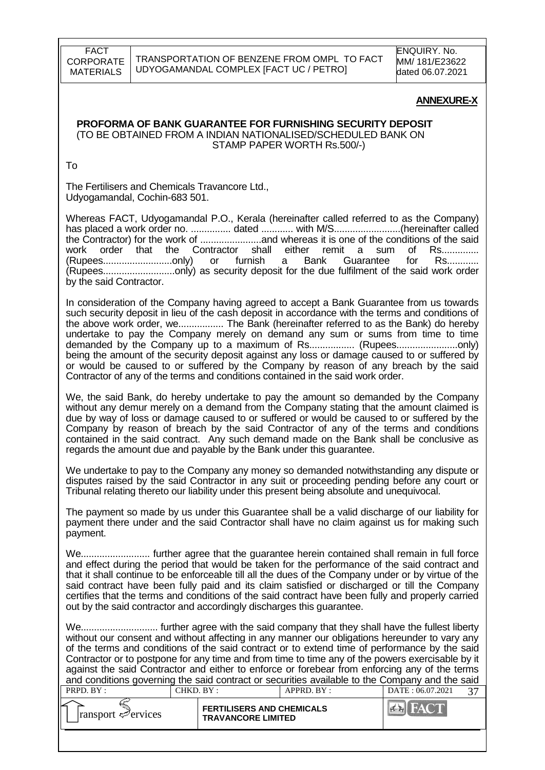#### **ANNEXURE-X**

#### **PROFORMA OF BANK GUARANTEE FOR FURNISHING SECURITY DEPOSIT** (TO BE OBTAINED FROM A INDIAN NATIONALISED/SCHEDULED BANK ON STAMP PAPER WORTH Rs.500/-)

To

The Fertilisers and Chemicals Travancore Ltd., Udyogamandal, Cochin-683 501.

Whereas FACT, Udyogamandal P.O., Kerala (hereinafter called referred to as the Company) has placed a work order no. ............... dated ............ with M/S.........................(hereinafter called the Contractor) for the work of .......................and whereas it is one of the conditions of the said work order that the Contractor shall either remit a sum of Rs..............<br>(Rupees...............................only) or furnish a Bank Guarantee for Rs............ (Rupees..............................only) or furnish a Bank Guarantee for (Rupees...........................only) as security deposit for the due fulfilment of the said work order by the said Contractor.

In consideration of the Company having agreed to accept a Bank Guarantee from us towards such security deposit in lieu of the cash deposit in accordance with the terms and conditions of the above work order, we................. The Bank (hereinafter referred to as the Bank) do hereby undertake to pay the Company merely on demand any sum or sums from time to time demanded by the Company up to a maximum of Rs................. (Rupees.......................only) being the amount of the security deposit against any loss or damage caused to or suffered by or would be caused to or suffered by the Company by reason of any breach by the said Contractor of any of the terms and conditions contained in the said work order.

We, the said Bank, do hereby undertake to pay the amount so demanded by the Company without any demur merely on a demand from the Company stating that the amount claimed is due by way of loss or damage caused to or suffered or would be caused to or suffered by the Company by reason of breach by the said Contractor of any of the terms and conditions contained in the said contract. Any such demand made on the Bank shall be conclusive as regards the amount due and payable by the Bank under this guarantee.

We undertake to pay to the Company any money so demanded notwithstanding any dispute or disputes raised by the said Contractor in any suit or proceeding pending before any court or Tribunal relating thereto our liability under this present being absolute and unequivocal.

The payment so made by us under this Guarantee shall be a valid discharge of our liability for payment there under and the said Contractor shall have no claim against us for making such payment.

We.......................... further agree that the guarantee herein contained shall remain in full force and effect during the period that would be taken for the performance of the said contract and that it shall continue to be enforceable till all the dues of the Company under or by virtue of the said contract have been fully paid and its claim satisfied or discharged or till the Company certifies that the terms and conditions of the said contract have been fully and properly carried out by the said contractor and accordingly discharges this guarantee.

We............................. further agree with the said company that they shall have the fullest liberty without our consent and without affecting in any manner our obligations hereunder to vary any of the terms and conditions of the said contract or to extend time of performance by the said Contractor or to postpone for any time and from time to time any of the powers exercisable by it against the said Contractor and either to enforce or forebear from enforcing any of the terms and conditions governing the said contract or securities available to the Company and the said

| <b>FERTILISERS AND CHEMICALS</b><br>$\lvert$ ransport $\ll$ ervices<br><b>TRAVANCORE LIMITED</b> | PRPD. BY: | CHKD. BY : | $APPRD$ . $BY$ : | DATE: 06.07.2021 |  |
|--------------------------------------------------------------------------------------------------|-----------|------------|------------------|------------------|--|
|                                                                                                  |           |            |                  |                  |  |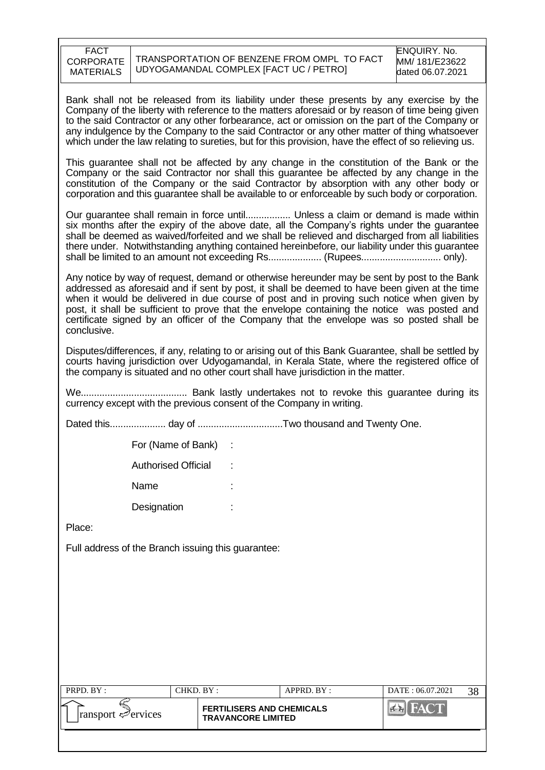| <b>FACT</b><br><b>CORPORATE</b><br><b>MATERIALS</b> | TRANSPORTATION OF BENZENE FROM OMPL TO FACT<br>UDYOGAMANDAL COMPLEX [FACT UC / PETRO] | ENQUIRY, No.<br>MM/181/E23622<br>dated 06.07.2021 |
|-----------------------------------------------------|---------------------------------------------------------------------------------------|---------------------------------------------------|
|-----------------------------------------------------|---------------------------------------------------------------------------------------|---------------------------------------------------|

Bank shall not be released from its liability under these presents by any exercise by the Company of the liberty with reference to the matters aforesaid or by reason of time being given to the said Contractor or any other forbearance, act or omission on the part of the Company or any indulgence by the Company to the said Contractor or any other matter of thing whatsoever which under the law relating to sureties, but for this provision, have the effect of so relieving us.

This guarantee shall not be affected by any change in the constitution of the Bank or the Company or the said Contractor nor shall this guarantee be affected by any change in the constitution of the Company or the said Contractor by absorption with any other body or corporation and this guarantee shall be available to or enforceable by such body or corporation.

Our guarantee shall remain in force until................. Unless a claim or demand is made within six months after the expiry of the above date, all the Company's rights under the guarantee shall be deemed as waived/forfeited and we shall be relieved and discharged from all liabilities there under. Notwithstanding anything contained hereinbefore, our liability under this guarantee shall be limited to an amount not exceeding Rs.................... (Rupees.............................. only).

Any notice by way of request, demand or otherwise hereunder may be sent by post to the Bank addressed as aforesaid and if sent by post, it shall be deemed to have been given at the time when it would be delivered in due course of post and in proving such notice when given by post, it shall be sufficient to prove that the envelope containing the notice was posted and certificate signed by an officer of the Company that the envelope was so posted shall be conclusive.

Disputes/differences, if any, relating to or arising out of this Bank Guarantee, shall be settled by courts having jurisdiction over Udyogamandal, in Kerala State, where the registered office of the company is situated and no other court shall have jurisdiction in the matter.

We........................................ Bank lastly undertakes not to revoke this guarantee during its currency except with the previous consent of the Company in writing.

Dated this..................... day of ................................Two thousand and Twenty One.

For (Name of Bank) :

Authorised Official :

Name

Designation :

Place:

Full address of the Branch issuing this guarantee:

| PRPD. BY:                       | CHKD. BY : |                                                               | APPRD. BY: | DATE: 06.07.2021 | 38 |
|---------------------------------|------------|---------------------------------------------------------------|------------|------------------|----|
| $\lvert$ ransport $\ll$ ervices |            | <b>FERTILISERS AND CHEMICALS</b><br><b>TRAVANCORE LIMITED</b> |            |                  |    |
|                                 |            |                                                               |            |                  |    |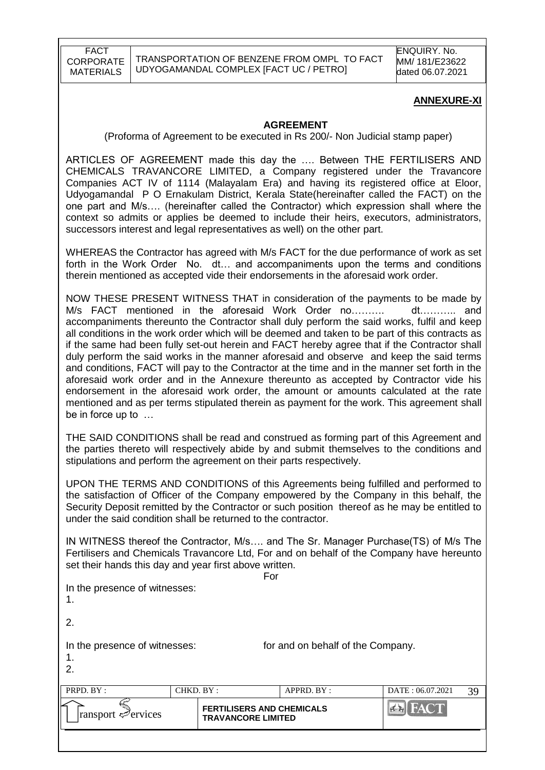#### **ANNEXURE-XI**

#### **AGREEMENT**

(Proforma of Agreement to be executed in Rs 200/- Non Judicial stamp paper)

ARTICLES OF AGREEMENT made this day the …. Between THE FERTILISERS AND CHEMICALS TRAVANCORE LIMITED, a Company registered under the Travancore Companies ACT IV of 1114 (Malayalam Era) and having its registered office at Eloor, Udyogamandal P O Ernakulam District, Kerala State(hereinafter called the FACT) on the one part and M/s…. (hereinafter called the Contractor) which expression shall where the context so admits or applies be deemed to include their heirs, executors, administrators, successors interest and legal representatives as well) on the other part.

WHEREAS the Contractor has agreed with M/s FACT for the due performance of work as set forth in the Work Order No. dt… and accompaniments upon the terms and conditions therein mentioned as accepted vide their endorsements in the aforesaid work order.

NOW THESE PRESENT WITNESS THAT in consideration of the payments to be made by M/s FACT mentioned in the aforesaid Work Order no………. dt……….. and accompaniments thereunto the Contractor shall duly perform the said works, fulfil and keep all conditions in the work order which will be deemed and taken to be part of this contracts as if the same had been fully set-out herein and FACT hereby agree that if the Contractor shall duly perform the said works in the manner aforesaid and observe and keep the said terms and conditions, FACT will pay to the Contractor at the time and in the manner set forth in the aforesaid work order and in the Annexure thereunto as accepted by Contractor vide his endorsement in the aforesaid work order, the amount or amounts calculated at the rate mentioned and as per terms stipulated therein as payment for the work. This agreement shall be in force up to …

THE SAID CONDITIONS shall be read and construed as forming part of this Agreement and the parties thereto will respectively abide by and submit themselves to the conditions and stipulations and perform the agreement on their parts respectively.

UPON THE TERMS AND CONDITIONS of this Agreements being fulfilled and performed to the satisfaction of Officer of the Company empowered by the Company in this behalf, the Security Deposit remitted by the Contractor or such position thereof as he may be entitled to under the said condition shall be returned to the contractor.

IN WITNESS thereof the Contractor, M/s…. and The Sr. Manager Purchase(TS) of M/s The Fertilisers and Chemicals Travancore Ltd, For and on behalf of the Company have hereunto set their hands this day and year first above written.

| <b>FERTILISERS AND CHEMICALS</b><br>ransport envices<br><b>TRAVANCORE LIMITED</b>                               |           |     |            | <b>EN FACT</b>   |    |
|-----------------------------------------------------------------------------------------------------------------|-----------|-----|------------|------------------|----|
| PRPD. BY:                                                                                                       | CHKD. BY: |     | APPRD. BY: | DATE: 06.07.2021 | 39 |
| In the presence of witnesses:<br>for and on behalf of the Company.<br>.1<br>2.                                  |           |     |            |                  |    |
| 2.                                                                                                              |           |     |            |                  |    |
| In the presence of witnesses:<br>1.                                                                             |           |     |            |                  |    |
| $\sigma$ and $\sigma$ in $\sigma$ and $\sigma$ and $\sigma$ and $\sigma$ and $\sigma$ and $\sigma$ and $\sigma$ |           | For |            |                  |    |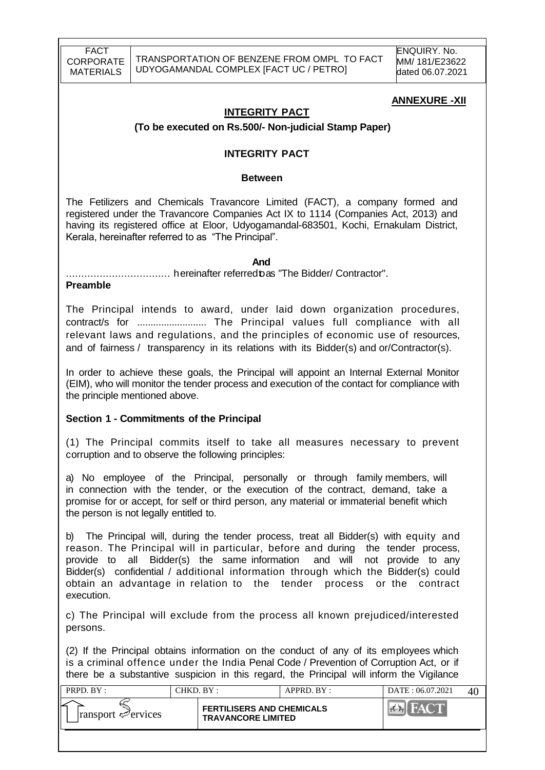### **ANNEXURE -XII**

#### **INTEGRITY PACT**

#### **(To be executed on Rs.500/- Non-judicial Stamp Paper)**

#### **INTEGRITY PACT**

#### **Between**

The Fetilizers and Chemicals Travancore Limited (FACT), a company formed and registered under the Travancore Companies Act IX to 1114 (Companies Act, 2013) and having its registered office at Eloor, Udyogamandal-683501, Kochi, Ernakulam District, Kerala, hereinafter referred to as "The Principal".

*And* 

.................................. hereinafter referredtoas "The Bidder/ Contractor".

#### **Preamble**

The Principal intends to award, under laid down organization procedures, contract/s for .......................... The Principal values full compliance with all relevant laws and regulations, and the principles of economic use of resources, and of fairness / transparency in its relations with its Bidder(s) and or/Contractor(s).

In order to achieve these goals, the Principal will appoint an Internal External Monitor (EIM), who will monitor the tender process and execution of the contact for compliance with the principle mentioned above.

#### **Section 1 - Commitments of the Principal**

(1) The Principal commits itself to take all measures necessary to prevent corruption and to observe the following principles:

a) No employee of the Principal, personally or through family members, will in connection with the tender, or the execution of the contract, demand, take a promise for or accept, for self or third person, any material or immaterial benefit which the person is not legally entitled to.

b) The Principal will, during the tender process, treat all Bidder(s) with equity and reason. The Principal will in particular, before and during the tender process, provide to all Bidder(s) the same information and will not provide to any Bidder(s) confidential / additional information through which the Bidder(s) could obtain an advantage in relation to the tender process or the contract execution.

c) The Principal will exclude from the process all known prejudiced/interested persons.

(2) If the Principal obtains information on the conduct of any of its employees which is a criminal offence under the India Penal Code / Prevention of Corruption Act, or if there be a substantive suspicion in this regard, the Principal will inform the Vigilance

| PRPD. BY:                          | CHKD. BY: |                                                               | APPRD. BY: | DATE: 06.07.2021 | 4 <sub>1</sub> |
|------------------------------------|-----------|---------------------------------------------------------------|------------|------------------|----------------|
| $ $ ransport $\mathcal{P}$ ervices |           | <b>FERTILISERS AND CHEMICALS</b><br><b>TRAVANCORE LIMITED</b> |            |                  |                |
|                                    |           |                                                               |            |                  |                |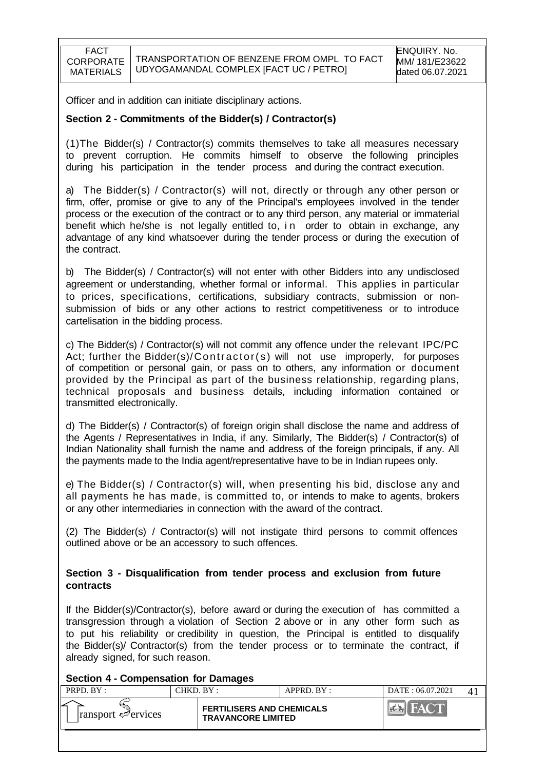Officer and in addition can initiate disciplinary actions.

#### **Section 2 - Commitments of the Bidder(s) / Contractor(s)**

(1)The Bidder(s) / Contractor(s) commits themselves to take all measures necessary to prevent corruption. He commits himself to observe the following principles during his participation in the tender process and during the contract execution.

a) The Bidder(s) / Contractor(s) will not, directly or through any other person or firm, offer, promise or give to any of the Principal's employees involved in the tender process or the execution of the contract or to any third person, any material or immaterial benefit which he/she is not legally entitled to, in order to obtain in exchange, any advantage of any kind whatsoever during the tender process or during the execution of the contract.

b) The Bidder(s) / Contractor(s) will not enter with other Bidders into any undisclosed agreement or understanding, whether formal or informal. This applies in particular to prices, specifications, certifications, subsidiary contracts, submission or nonsubmission of bids or any other actions to restrict competitiveness or to introduce cartelisation in the bidding process.

c) The Bidder(s) / Contractor(s) will not commit any offence under the relevant IPC/PC Act; further the Bidder(s)/ $\text{Contractor}(s)$  will not use improperly, for purposes of competition or personal gain, or pass on to others, any information or document provided by the Principal as part of the business relationship, regarding plans, technical proposals and business details, including information contained or transmitted electronically.

d) The Bidder(s) / Contractor(s) of foreign origin shall disclose the name and address of the Agents / Representatives in India, if any. Similarly, The Bidder(s) / Contractor(s) of Indian Nationality shall furnish the name and address of the foreign principals, if any. All the payments made to the India agent/representative have to be in Indian rupees only.

e) The Bidder(s) / Contractor(s) will, when presenting his bid, disclose any and all payments he has made, is committed to, or intends to make to agents, brokers or any other intermediaries in connection with the award of the contract.

(2) The Bidder(s) / Contractor(s) will not instigate third persons to commit offences outlined above or be an accessory to such offences.

#### **Section 3 - Disqualification from tender process and exclusion from future contracts**

If the Bidder(s)/Contractor(s), before award or during the execution of has committed a transgression through a violation of Section 2 above or in any other form such as to put his reliability or credibility in question, the Principal is entitled to disqualify the Bidder(s)/ Contractor(s) from the tender process or to terminate the contract, if already signed, for such reason.

#### **Section 4 - Compensation for Damages**

| PRPD. BY:                               | CHKD. BY : |                                                               | APPRD. BY: | DATE: 06.07.2021 |  |
|-----------------------------------------|------------|---------------------------------------------------------------|------------|------------------|--|
| $\lvert$ ransport $\mathcal{P}$ ervices |            | <b>FERTILISERS AND CHEMICALS</b><br><b>TRAVANCORE LIMITED</b> |            |                  |  |
|                                         |            |                                                               |            |                  |  |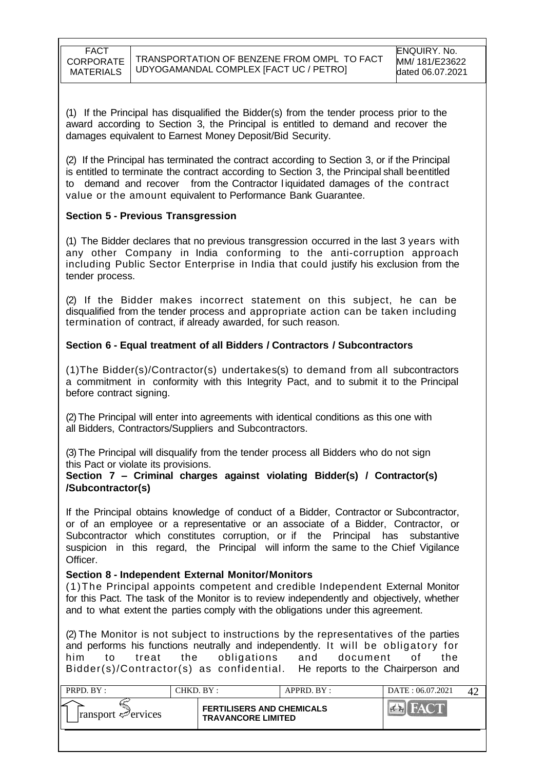(1) If the Principal has disqualified the Bidder(s) from the tender process prior to the award according to Section 3, the Principal is entitled to demand and recover the damages equivalent to Earnest Money Deposit/Bid Security.

(2) If the Principal has terminated the contract according to Section 3, or if the Principal is entitled to terminate the contract according to Section 3, the Principal shall be entitled to demand and recover from the Contractor l iquidated damages of the contract value or the amount equivalent to Performance Bank Guarantee.

### **Section 5 - Previous Transgression**

(1) The Bidder declares that no previous transgression occurred in the last 3 years with any other Company in India conforming to the anti-corruption approach including Public Sector Enterprise in India that could justify his exclusion from the tender process.

(2) If the Bidder makes incorrect statement on this subject, he can be disqualified from the tender process and appropriate action can be taken including termination of contract, if already awarded, for such reason.

### **Section 6 - Equal treatment of all Bidders / Contractors / Subcontractors**

(1)The Bidder(s)/Contractor(s) undertakes(s) to demand from all subcontractors a commitment in conformity with this Integrity Pact, and to submit it to the Principal before contract signing.

(2)The Principal will enter into agreements with identical conditions as this one with all Bidders, Contractors/Suppliers and Subcontractors.

(3)The Principal will disqualify from the tender process all Bidders who do not sign this Pact or violate its provisions.

#### **Section 7 – Criminal charges against violating Bidder(s) / Contractor(s) /Subcontractor(s)**

If the Principal obtains knowledge of conduct of a Bidder, Contractor or Subcontractor, or of an employee or a representative or an associate of a Bidder, Contractor, or Subcontractor which constitutes corruption, or if the Principal has substantive suspicion in this regard, the Principal will inform the same to the Chief Vigilance Officer.

#### **Section 8 - Independent External Monitor/Monitors**

(1)The Principal appoints competent and credible Independent External Monitor for this Pact. The task of the Monitor is to review independently and objectively, whether and to what extent the parties comply with the obligations under this agreement.

(2) The Monitor is not subject to instructions by the representatives of the parties and performs his functions neutrally and independently. It will be obligatory for him to treat the obligations and document of the Bidder(s)/Contractor(s) as confidential. He reports to the Chairperson and

| PRPD. BY:                          | CHKD. BY :                                                    | APPRD. BY: | DATE: 06.07.2021 |  |
|------------------------------------|---------------------------------------------------------------|------------|------------------|--|
| $ $ ransport $\mathcal{P}$ ervices | <b>FERTILISERS AND CHEMICALS</b><br><b>TRAVANCORE LIMITED</b> |            |                  |  |
|                                    |                                                               |            |                  |  |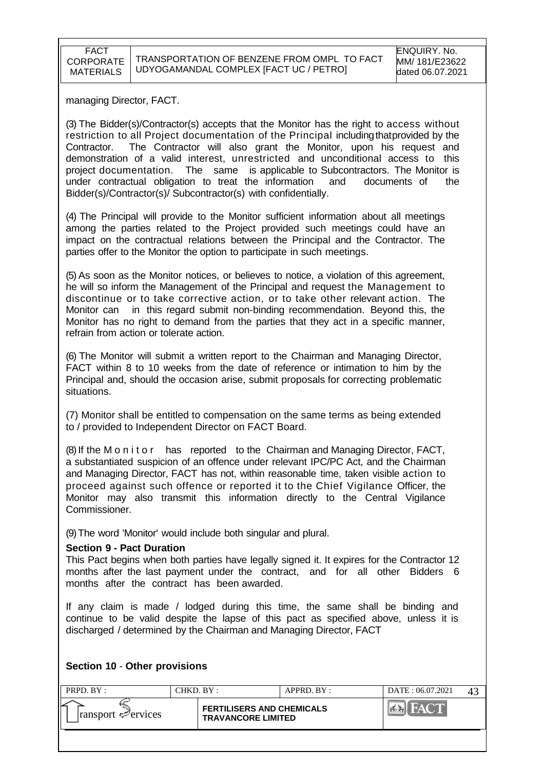managing Director, FACT.

(3) The Bidder(s)/Contractor(s) accepts that the Monitor has the right to access without restriction to all Project documentation of the Principal includingthatprovided by the Contractor. The Contractor will also grant the Monitor, upon his request and demonstration of a valid interest, unrestricted and unconditional access to this project documentation. The same is applicable to Subcontractors. The Monitor is under contractual obligation to treat the information and documents of the Bidder(s)/Contractor(s)/ Subcontractor(s) with confidentially.

(4) The Principal will provide to the Monitor sufficient information about all meetings among the parties related to the Project provided such meetings could have an impact on the contractual relations between the Principal and the Contractor. The parties offer to the Monitor the option to participate in such meetings.

(5) As soon as the Monitor notices, or believes to notice, a violation of this agreement, he will so inform the Management of the Principal and request the Management to discontinue or to take corrective action, or to take other relevant action. The Monitor can in this regard submit non-binding recommendation. Beyond this, the Monitor has no right to demand from the parties that they act in a specific manner, refrain from action or tolerate action.

(6) The Monitor will submit a written report to the Chairman and Managing Director, FACT within 8 to 10 weeks from the date of reference or intimation to him by the Principal and, should the occasion arise, submit proposals for correcting problematic situations.

(7) Monitor shall be entitled to compensation on the same terms as being extended to / provided to Independent Director on FACT Board.

(8) If the M o n i t o r has reported to the Chairman and Managing Director, FACT, a substantiated suspicion of an offence under relevant IPC/PC Act, and the Chairman and Managing Director, FACT has not, within reasonable time, taken visible action to proceed against such offence or reported it to the Chief Vigilance Officer, the Monitor may also transmit this information directly to the Central Vigilance Commissioner.

(9)The word 'Monitor' would include both singular and plural.

#### **Section 9 - Pact Duration**

This Pact begins when both parties have legally signed it. It expires for the Contractor 12 months after the last payment under the contract, and for all other Bidders 6 months after the contract has been awarded.

If any claim is made / lodged during this time, the same shall be binding and continue to be valid despite the lapse of this pact as specified above, unless it is discharged / determined by the Chairman and Managing Director, FACT

#### **Section 10** - **Other provisions**

| PRPD. BY:                            | CHKD. BY : |                                                               | APPRD. BY: | DATE: 06.07.2021 |  |
|--------------------------------------|------------|---------------------------------------------------------------|------------|------------------|--|
| ⊵<br>$\lvert$ ransport $\ll$ ervices |            | <b>FERTILISERS AND CHEMICALS</b><br><b>TRAVANCORE LIMITED</b> |            |                  |  |
|                                      |            |                                                               |            |                  |  |